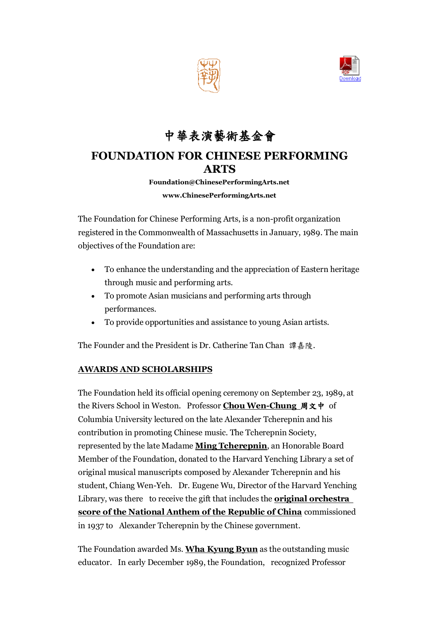



# 中華表演藝術基金會

## **FOUNDATION FOR CHINESE PERFORMING ARTS**

**Foundation@ChinesePerformingArts.net**

#### **www.ChinesePerformingArts.net**

The Foundation for Chinese Performing Arts, is a non-profit organization registered in the Commonwealth of Massachusetts in January, 1989. The main objectives of the Foundation are:

- To enhance the understanding and the appreciation of Eastern heritage through music and performing arts.
- To promote Asian musicians and performing arts through performances.
- To provide opportunities and assistance to young Asian artists.

The Founder and the President is Dr. Catherine Tan Chan 譚嘉陵.

### **AWARDS AND SCHOLARSHIPS**

The Foundation held its official opening ceremony on September 23, 1989, at the Rivers School in Weston. Professor **Chou Wen-Chung** 周文中 of Columbia University lectured on the late Alexander Tcherepnin and his contribution in promoting Chinese music. The Tcherepnin Society, represented by the late Madame **Ming Tcherepnin**, an Honorable Board Member of the Foundation, donated to the Harvard Yenching Library a set of original musical manuscripts composed by Alexander Tcherepnin and his student, Chiang Wen-Yeh. Dr. Eugene Wu, Director of the Harvard Yenching Library, was there to receive the gift that includes the **original orchestra score of the National Anthem of the Republic of China** commissioned in 1937 to Alexander Tcherepnin by the Chinese government.

The Foundation awarded Ms. **Wha Kyung Byun** as the outstanding music educator. In early December 1989, the Foundation, recognized Professor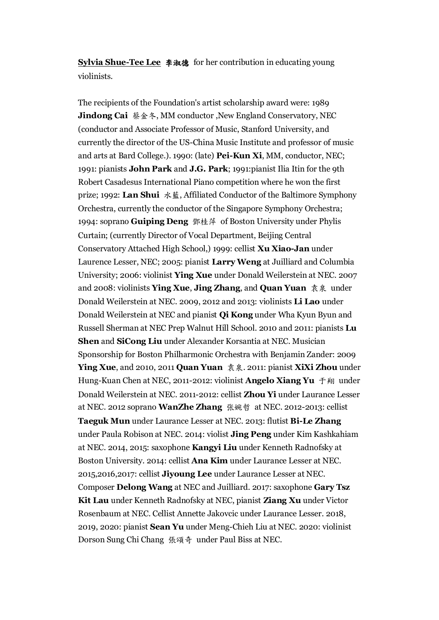**Sylvia Shue-Tee Lee** 李淑德 for her contribution in educating young violinists.

The recipients of the Foundation's artist scholarship award were: 1989 **Jindong Cai** 蔡金冬, MM conductor , New England Conservatory, NEC (conductor and Associate Professor of Music, Stanford University, and currently the director of the US-China Music Institute and professor of music and arts at Bard College.). 1990: (late) **Pei-Kun Xi**, MM, conductor, NEC; 1991: pianists **John Park** and **J.G. Park**; 1991:pianist Ilia Itin for the 9th Robert Casadesus International Piano competition where he won the first prize; 1992: **Lan Shui** 水藍, Affiliated Conductor of the Baltimore Symphony Orchestra, currently the conductor of the Singapore Symphony Orchestra; 1994: soprano **Guiping Deng** 鄧桂萍 of Boston University under Phylis Curtain; (currently Director of Vocal Department, Beijing Central Conservatory Attached High School,) 1999: cellist **Xu Xiao-Jan** under Laurence Lesser, NEC; 2005: pianist **Larry Weng** at Juilliard and Columbia University; 2006: violinist **Ying Xue** under Donald Weilerstein at NEC. 2007 and 2008: violinists **Ying Xue**, **Jing Zhang**, and **Quan Yuan** 袁泉 under Donald Weilerstein at NEC. 2009, 2012 and 2013: violinists **Li Lao** under Donald Weilerstein at NEC and pianist **Qi Kong** under Wha Kyun Byun and Russell Sherman at NEC Prep Walnut Hill School. 2010 and 2011: pianists **Lu Shen** and **SiCong Liu** under Alexander Korsantia at NEC. Musician Sponsorship for Boston Philharmonic Orchestra with Benjamin Zander: 2009 **Ying Xue**, and 2010, 2011 **Quan Yuan** 袁泉. 2011: pianist **XiXi Zhou** under Hung-Kuan Chen at NEC, 2011-2012: violinist **Angelo Xiang Yu** 于翔 under Donald Weilerstein at NEC. 2011-2012: cellist **Zhou Yi** under Laurance Lesser at NEC. 2012 soprano **WanZhe Zhang** 张婉哲 at NEC. 2012-2013: cellist **Taeguk Mun** under Laurance Lesser at NEC. 2013: flutist **Bi-Le Zhang** under Paula Robison at NEC. 2014: violist **Jing Peng** under Kim Kashkahiam at NEC. 2014, 2015: saxophone **Kangyi Liu** under Kenneth Radnofsky at Boston University. 2014: cellist **Ana Kim** under Laurance Lesser at NEC. 2015,2016,2017: cellist **Jiyoung Lee** under Laurance Lesser at NEC. Composer **Delong Wang** at NEC and Juilliard. 2017: saxophone **Gary Tsz Kit Lau** under Kenneth Radnofsky at NEC, pianist **Ziang Xu** under Victor Rosenbaum at NEC. Cellist Annette Jakovcic under Laurance Lesser. 2018, 2019, 2020: pianist **Sean Yu** under Meng-Chieh Liu at NEC. 2020: violinist Dorson Sung Chi Chang 張頌奇 under Paul Biss at NEC.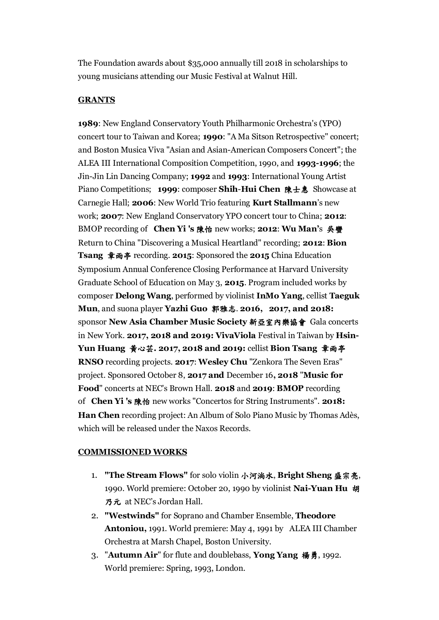The Foundation awards about \$35,000 annually till 2018 in scholarships to young musicians attending our Music Festival at Walnut Hill.

#### **GRANTS**

**1989**: New England Conservatory Youth Philharmonic Orchestra's (YPO) concert tour to Taiwan and Korea; **1990**: "A Ma Sitson Retrospective" concert; and Boston Musica Viva "Asian and Asian-American Composers Concert"; the ALEA III International Composition Competition, 1990, and **1993-1996**; the Jin-Jin Lin Dancing Company; **1992** and **1993**: International Young Artist Piano Competitions; **1999**: composer **Shih**-**Hui Chen** 陳士惠 Showcase at Carnegie Hall; **2006**: New World Trio featuring **Kurt Stallmann**'s new work; **2007**: New England Conservatory YPO concert tour to China; **2012**: BMOP recording of **Chen Yi 's** 陳怡 new works; **2012**: **Wu Man'**s 吳蠻 Return to China "Discovering a Musical Heartland" recording; **2012**: **Bion Tsang** 章雨亭 recording. **2015**: Sponsored the **2015** China Education Symposium Annual Conference Closing Performance at Harvard University Graduate School of Education on May 3, **2015**. Program included works by composer **Delong Wang**, performed by violinist **InMo Yang**, cellist **Taeguk Mun**, and suona player **Yazhi Guo** 郭雅志. **2016, 2017, and 2018:**  sponsor **New Asia Chamber Music Society** 新亞室內樂協會 Gala concerts in New York. **2017, 2018 and 2019: VivaViola** Festival in Taiwan by **Hsin-Yun Huang** 黃心芸**. 2017, 2018 and 2019:** cellist **Bion Tsang** 章雨亭 **RNSO** recording projects. **2017**: **Wesley Chu** "Zenkora The Seven Eras" project. Sponsored October 8, **2017 and** December 16**, 2018** "**Music for Food**" concerts at NEC's Brown Hall. **2018** and **2019**: **BMOP** recording of **Chen Yi 's** 陳怡 new works "Concertos for String Instruments". **2018: Han Chen** recording project: An Album of Solo Piano Music by Thomas Adès, which will be released under the Naxos Records.

#### **COMMISSIONED WORKS**

- 1. **"The Stream Flows"** for solo violin 小河淌水, **Bright Sheng** 盛宗亮, 1990. World premiere: October 20, 1990 by violinist **Nai-Yuan Hu** 胡 乃元 at NEC's Jordan Hall.
- 2. **"Westwinds"** for Soprano and Chamber Ensemble, **Theodore Antoniou,** 1991. World premiere: May 4, 1991 by ALEA III Chamber Orchestra at Marsh Chapel, Boston University.
- 3. "**Autumn Air**" for flute and doublebass, **Yong Yang** 楊勇, 1992. World premiere: Spring, 1993, London.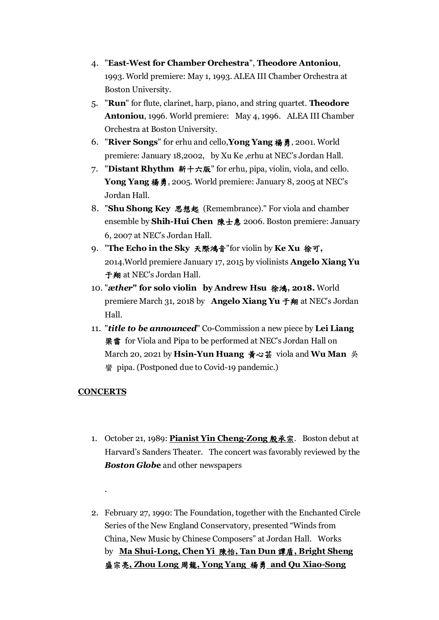- 4. "**East-West for Chamber Orchestra**", **Theodore Antoniou**, 1993. World premiere: May 1, 1993. ALEA III Chamber Orchestra at Boston University.
- 5. "**Run**" for flute, clarinet, harp, piano, and string quartet. **Theodore Antoniou**, 1996. World premiere: May 4, 1996. ALEA III Chamber Orchestra at Boston University.
- 6. "**River Songs**" for erhu and cello,**Yong Yang** 楊勇, 2001. World premiere: January 18,2002, by Xu Ke ,erhu at NEC's Jordan Hall.
- 7. "**Distant Rhythm** 新十六版" for erhu, pipa, violin, viola, and cello. **Yong Yang** 楊勇, 2005. World premiere: January 8, 2005 at NEC's Jordan Hall.
- 8. "**Shu Shong Key** 思想起 (Remembrance)." For viola and chamber ensemble by **Shih-Hui Chen** 陳士惠 2006. Boston premiere: January 6, 2007 at NEC's Jordan Hall.
- 9. "**The Echo in the Sky** 天際鴻音"for violin by **Ke Xu** 徐可**,**  2014.World premiere January 17, 2015 by violinists **Angelo Xiang Yu**  于翔 at NEC's Jordan Hall.
- 10. "*æther***" for solo violin by Andrew Hsu** 徐鴻**, 2018.** World premiere March 31, 2018 by **Angelo Xiang Yu** 于翔 at NEC's Jordan Hall.
- 11. "*title to be announced*" Co-Commission a new piece by **Lei Liang**  梁雷 for Viola and Pipa to be performed at NEC's Jordan Hall on March 20, 2021 by **Hsin-Yun Huang** 黃心芸 viola and **Wu Man** 吳 **蠻 pipa. (Postponed due to Covid-19 pandemic.)**

### **CONCERTS**

.

- 1. October 21, 1989: **Pianist Yin Cheng-Zong** 殷承宗. Boston debut at Harvard's Sanders Theater. The concert was favorably reviewed by the *Boston Glob***e** and other newspapers
- 2. February 27, 1990: The Foundation, together with the Enchanted Circle Series of the New England Conservatory, presented "Winds from China, New Music by Chinese Composers" at Jordan Hall. Works by **Ma Shui-Long, Chen Yi** 陳怡**, Tan Dun** 譚盾**, Bright Sheng** 盛宗亮**, Zhou Long** 周龍**, Yong Yang** 楊勇 **and Qu Xiao-Song**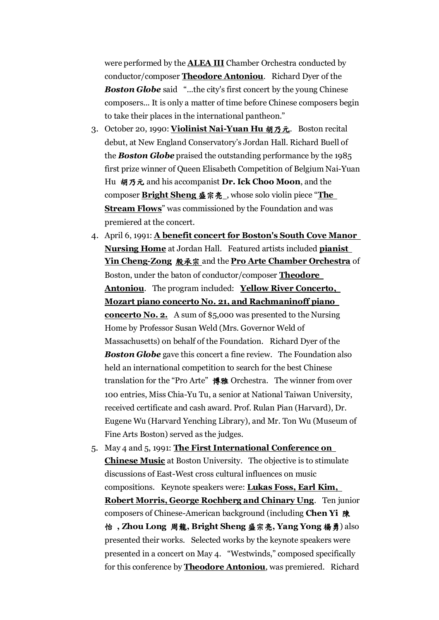were performed by the **ALEA III** Chamber Orchestra conducted by conductor/composer **Theodore Antoniou**. Richard Dyer of the **Boston Globe** said "...the city's first concert by the young Chinese composers... It is only a matter of time before Chinese composers begin to take their places in the international pantheon."

- 3. October 20, 1990: **Violinist Nai-Yuan Hu** 胡乃元. Boston recital debut, at New England Conservatory's Jordan Hall. Richard Buell of the *Boston Globe* praised the outstanding performance by the 1985 first prize winner of Queen Elisabeth Competition of Belgium Nai-Yuan Hu 胡乃元 and his accompanist **Dr. Ick Choo Moon**, and the composer **Bright Sheng** 盛宗亮 , whose solo violin piece "**The Stream Flows**" was commissioned by the Foundation and was premiered at the concert.
- 4. April 6, 1991: **A benefit concert for Boston's South Cove Manor Nursing Home** at Jordan Hall. Featured artists included **pianist Yin Cheng-Zong** 殷承宗 and the **Pro Arte Chamber Orchestra** of Boston, under the baton of conductor/composer **Theodore Antoniou**. The program included: **Yellow River Concerto, Mozart piano concerto No. 21, and Rachmaninoff piano concerto No. 2.** A sum of \$5,000 was presented to the Nursing Home by Professor Susan Weld (Mrs. Governor Weld of Massachusetts) on behalf of the Foundation. Richard Dyer of the *Boston Globe* gave this concert a fine review. The Foundation also held an international competition to search for the best Chinese translation for the "Pro Arte" 博雅 Orchestra. The winner from over 100 entries, Miss Chia-Yu Tu, a senior at National Taiwan University, received certificate and cash award. Prof. Rulan Pian (Harvard), Dr. Eugene Wu (Harvard Yenching Library), and Mr. Ton Wu (Museum of Fine Arts Boston) served as the judges.
- 5. May 4 and 5, 1991: **The First International Conference on Chinese Music** at Boston University. The objective is to stimulate discussions of East-West cross cultural influences on music compositions. Keynote speakers were: **Lukas Foss, Earl Kim, Robert Morris, George Rochberg and Chinary Ung**. Ten junior composers of Chinese-American background (including **Chen Yi** 陳 怡 **, Zhou Long** 周龍**, Bright Sheng** 盛宗亮**, Yang Yong** 楊勇) also presented their works. Selected works by the keynote speakers were presented in a concert on May 4. "Westwinds," composed specifically for this conference by **Theodore Antoniou**, was premiered. Richard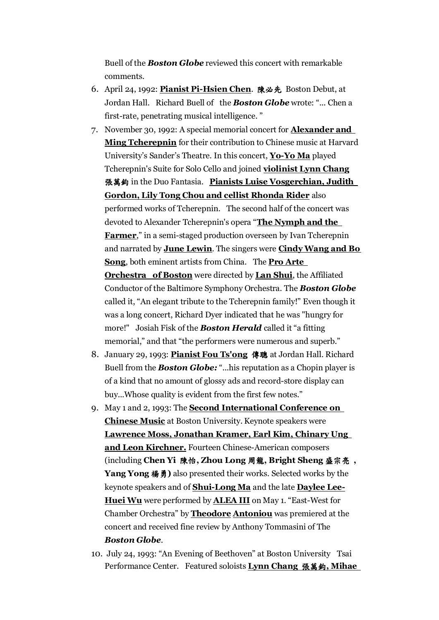Buell of the *Boston Globe* reviewed this concert with remarkable comments.

- 6. April 24, 1992: **Pianist Pi-Hsien Chen**. 陳必先 Boston Debut, at Jordan Hall. Richard Buell of the *Boston Globe* wrote: "... Chen a first-rate, penetrating musical intelligence. "
- 7. November 30, 1992: A special memorial concert for **Alexander and Ming Tcherepnin** for their contribution to Chinese music at Harvard University's Sander's Theatre. In this concert, **Yo-Yo Ma** played Tcherepnin's Suite for Solo Cello and joined **violinist Lynn Chang** 張萬鈞 in the Duo Fantasia. **Pianists Luise Vosgerchian, Judith Gordon, Lily Tong Chou and cellist Rhonda Rider** also performed works of Tcherepnin. The second half of the concert was devoted to Alexander Tcherepnin's opera "**The Nymph and the Farmer**," in a semi-staged production overseen by Ivan Tcherepnin and narrated by **June Lewin**. The singers were **Cindy Wang and Bo Song**, both eminent artists from China. The **Pro Arte Orchestra of Boston** were directed by **Lan Shui**, the Affiliated Conductor of the Baltimore Symphony Orchestra. The *Boston Globe* called it, "An elegant tribute to the Tcherepnin family!" Even though it was a long concert, Richard Dyer indicated that he was "hungry for more!" Josiah Fisk of the *Boston Herald* called it "a fitting memorial," and that "the performers were numerous and superb."
- 8. January 29, 1993: **Pianist Fou Ts'ong** 傳聰 at Jordan Hall. Richard Buell from the *Boston Globe:* "...his reputation as a Chopin player is of a kind that no amount of glossy ads and record-store display can buy...Whose quality is evident from the first few notes."
- 9. May 1 and 2, 1993: The **Second International Conference on Chinese Music** at Boston University. Keynote speakers were **Lawrence Moss, Jonathan Kramer, Earl Kim, Chinary Ung and Leon Kirchner.** Fourteen Chinese-American composers (including **Chen Yi** 陳怡**, Zhou Long** 周龍**, Bright Sheng** 盛宗亮 **, Yang Yong** 楊勇**)** also presented their works. Selected works by the keynote speakers and of **Shui-Long Ma** and the late **Daylee Lee-Huei Wu** were performed by **ALEA III** on May 1. "East-West for Chamber Orchestra" by **Theodore Antoniou** was premiered at the concert and received fine review by Anthony Tommasini of The *Boston Globe*.
- 10. July 24, 1993: "An Evening of Beethoven" at Boston University Tsai Performance Center. Featured soloists **Lynn Chang** 張萬鈞**, Mihae**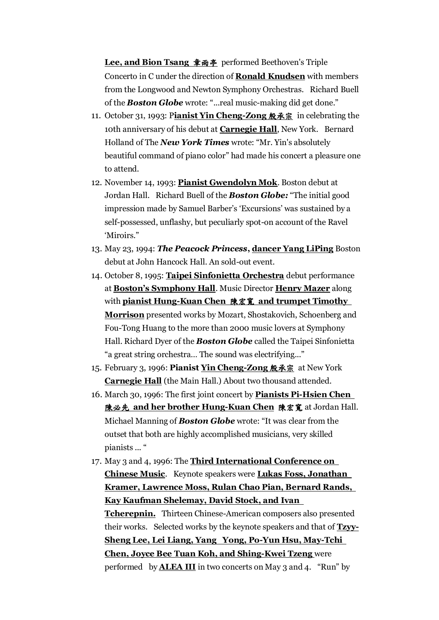**Lee, and Bion Tsang** 章雨亭 performed Beethoven's Triple Concerto in C under the direction of **Ronald Knudsen** with members from the Longwood and Newton Symphony Orchestras. Richard Buell of the *Boston Globe* wrote: "...real music-making did get done."

- 11. October 31, 1993: P**ianist Yin Cheng-Zong** 殷承宗 in celebrating the 10th anniversary of his debut at **Carnegie Hall**, New York. Bernard Holland of The *New York Times* wrote: "Mr. Yin's absolutely beautiful command of piano color" had made his concert a pleasure one to attend.
- 12. November 14, 1993: **Pianist Gwendolyn Mok**. Boston debut at Jordan Hall. Richard Buell of the *Boston Globe:* "The initial good impression made by Samuel Barber's 'Excursions' was sustained by a self-possessed, unflashy, but peculiarly spot-on account of the Ravel 'Miroirs."
- 13. May 23, 1994: *The Peacock Princess***, dancer Yang LiPing** Boston debut at John Hancock Hall. An sold-out event.
- 14. October 8, 1995: **Taipei Sinfonietta Orchestra** debut performance at **Boston's Symphony Hall**. Music Director **Henry Mazer** along with **pianist Hung-Kuan Chen** 陳宏寬 **and trumpet Timothy Morrison** presented works by Mozart, Shostakovich, Schoenberg and Fou-Tong Huang to the more than 2000 music lovers at Symphony Hall. Richard Dyer of the *Boston Globe* called the Taipei Sinfonietta "a great string orchestra… The sound was electrifying..."
- 15. February 3, 1996: **Pianist Yin Cheng-Zong** 殷承宗 at New York **Carnegie Hall** (the Main Hall.) About two thousand attended.
- 16. March 30, 1996: The first joint concert by **Pianists Pi-Hsien Chen**  陳必先 **and her brother Hung-Kuan Chen** 陳宏寬 at Jordan Hall. Michael Manning of *Boston Globe* wrote: "It was clear from the outset that both are highly accomplished musicians, very skilled pianists ... "
- 17. May 3 and 4, 1996: The **Third International Conference on Chinese Music**. Keynote speakers were **Lukas Foss, Jonathan Kramer, Lawrence Moss, Rulan Chao Pian, Bernard Rands, Kay Kaufman Shelemay, David Stock, and Ivan Tcherepnin.** Thirteen Chinese-American composers also presented their works. Selected works by the keynote speakers and that of **Tzyy-Sheng Lee, Lei Liang, Yang Yong, Po-Yun Hsu, May-Tchi Chen, Joyce Bee Tuan Koh, and Shing-Kwei Tzeng** were performed by **ALEA III** in two concerts on May 3 and 4. "Run" by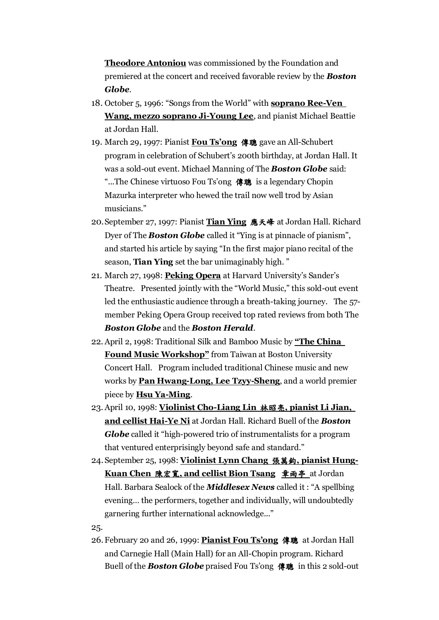**Theodore Antoniou** was commissioned by the Foundation and premiered at the concert and received favorable review by the *Boston Globe*.

- 18. October 5, 1996: "Songs from the World" with **soprano Ree-Ven Wang, mezzo soprano Ji-Young Lee**, and pianist Michael Beattie at Jordan Hall.
- 19. March 29, 1997: Pianist **Fou Ts'ong** 傳聰 gave an All-Schubert program in celebration of Schubert's 200th birthday, at Jordan Hall. It was a sold-out event. Michael Manning of The *Boston Globe* said: "...The Chinese virtuoso Fou Ts'ong 傳聰 is a legendary Chopin Mazurka interpreter who hewed the trail now well trod by Asian musicians."
- 20.September 27, 1997: Pianist **Tian Ying** 應天峰 at Jordan Hall. Richard Dyer of The *Boston Globe* called it "Ying is at pinnacle of pianism", and started his article by saying "In the first major piano recital of the season, **Tian Ying** set the bar unimaginably high. "
- 21. March 27, 1998: **Peking Opera** at Harvard University's Sander's Theatre. Presented jointly with the "World Music," this sold-out event led the enthusiastic audience through a breath-taking journey. The 57 member Peking Opera Group received top rated reviews from both The *Boston Globe* and the *Boston Herald*.
- 22.April 2, 1998: Traditional Silk and Bamboo Music by **"The China Found Music Workshop"** from Taiwan at Boston University Concert Hall. Program included traditional Chinese music and new works by **Pan Hwang-Long, Lee Tzyy-Sheng**, and a world premier piece by **Hsu Ya-Ming**.
- 23. April 10, 1998: **Violinist Cho-Liang Lin** 林昭亮**, pianist Li Jian, and cellist Hai-Ye Ni** at Jordan Hall. Richard Buell of the *Boston Globe* called it "high-powered trio of instrumentalists for a program that ventured enterprisingly beyond safe and standard."
- 24.September 25, 1998: **Violinist Lynn Chang** 張萬鈞**, pianist Hung-Kuan Chen** 陳宏寬**, and cellist Bion Tsang** 章雨亭 at Jordan Hall. Barbara Sealock of the *Middlesex News* called it : "A spellbing evening… the performers, together and individually, will undoubtedly garnering further international acknowledge..."

25.

26.February 20 and 26, 1999: **Pianist Fou Ts'ong** 傳聰 at Jordan Hall and Carnegie Hall (Main Hall) for an All-Chopin program. Richard Buell of the *Boston Globe* praised Fou Ts'ong 傳聰 in this 2 sold-out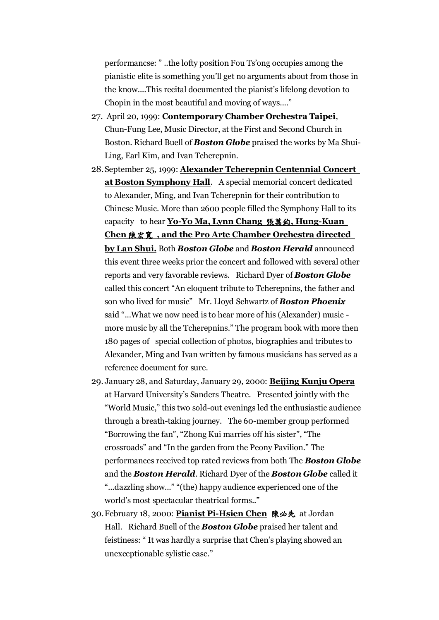performancse: " ..the lofty position Fou Ts'ong occupies among the pianistic elite is something you'll get no arguments about from those in the know....This recital documented the pianist's lifelong devotion to Chopin in the most beautiful and moving of ways...."

- 27. April 20, 1999: **Contemporary Chamber Orchestra Taipei**, Chun-Fung Lee, Music Director, at the First and Second Church in Boston. Richard Buell of *Boston Globe* praised the works by Ma Shui-Ling, Earl Kim, and Ivan Tcherepnin.
- 28.September 25, 1999: **Alexander Tcherepnin Centennial Concert at Boston Symphony Hall**. A special memorial concert dedicated to Alexander, Ming, and Ivan Tcherepnin for their contribution to Chinese Music. More than 2600 people filled the Symphony Hall to its capacity to hear **Yo-Yo Ma, Lynn Chang** 張萬鈞**, Hung-Kuan Chen** 陳宏寬 **, and the Pro Arte Chamber Orchestra directed by Lan Shui.** Both *Boston Globe* and *Boston Herald* announced this event three weeks prior the concert and followed with several other reports and very favorable reviews. Richard Dyer of *Boston Globe* called this concert "An eloquent tribute to Tcherepnins, the father and son who lived for music" Mr. Lloyd Schwartz of *Boston Phoenix* said "...What we now need is to hear more of his (Alexander) music more music by all the Tcherepnins." The program book with more then 180 pages of special collection of photos, biographies and tributes to Alexander, Ming and Ivan written by famous musicians has served as a reference document for sure.
- 29. January 28, and Saturday, January 29, 2000: **Beijing Kunju Opera** at Harvard University's Sanders Theatre. Presented jointly with the "World Music," this two sold-out evenings led the enthusiastic audience through a breath-taking journey. The 60-member group performed "Borrowing the fan", "Zhong Kui marries off his sister", "The crossroads" and "In the garden from the Peony Pavilion." The performances received top rated reviews from both The *Boston Globe* and the *Boston Herald*. Richard Dyer of the *Boston Globe* called it "...dazzling show..." "(the) happy audience experienced one of the world's most spectacular theatrical forms.."
- 30.February 18, 2000: **Pianist Pi-Hsien Chen** 陳必先 at Jordan Hall. Richard Buell of the *Boston Globe* praised her talent and feistiness: " It was hardly a surprise that Chen's playing showed an unexceptionable sylistic ease."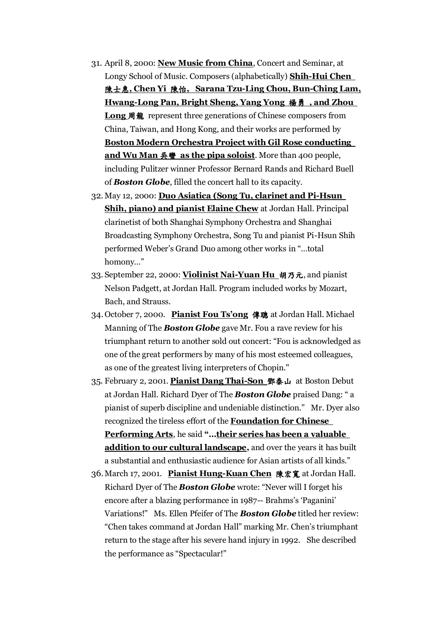- 31. April 8, 2000: **New Music from China**, Concert and Seminar, at Longy School of Music. Composers (alphabetically) **Shih-Hui Chen**  陳士惠**, Chen Yi** 陳怡**, Sarana Tzu-Ling Chou, Bun-Ching Lam, Hwang-Long Pan, Bright Sheng, Yang Yong** 楊勇 **, and Zhou Long** 周龍 represent three generations of Chinese composers from China, Taiwan, and Hong Kong, and their works are performed by **Boston Modern Orchestra Project with Gil Rose conducting and Wu Man** 吳蠻 **as the pipa soloist**. More than 400 people, including Pulitzer winner Professor Bernard Rands and Richard Buell of *Boston Globe*, filled the concert hall to its capacity.
- 32. May 12, 2000: **Duo Asiatica (Song Tu, clarinet and Pi-Hsun Shih, piano) and pianist Elaine Chew** at Jordan Hall. Principal clarinetist of both Shanghai Symphony Orchestra and Shanghai Broadcasting Symphony Orchestra, Song Tu and pianist Pi-Hsun Shih performed Weber's Grand Duo among other works in "…total homony…"
- 33. September 22, 2000: **Violinist Nai-Yuan Hu** 胡乃元, and pianist Nelson Padgett, at Jordan Hall. Program included works by Mozart, Bach, and Strauss.
- 34.October 7, 2000. **Pianist Fou Ts'ong** 傳聰 at Jordan Hall. Michael Manning of The *Boston Globe* gave Mr. Fou a rave review for his triumphant return to another sold out concert: "Fou is acknowledged as one of the great performers by many of his most esteemed colleagues, as one of the greatest living interpreters of Chopin."
- 35. February 2, 2001. **Pianist Dang Thai-Son** 鄧泰山 at Boston Debut at Jordan Hall. Richard Dyer of The *Boston Globe* praised Dang: " a pianist of superb discipline and undeniable distinction." Mr. Dyer also recognized the tireless effort of the **Foundation for Chinese Performing Arts**, he said **"…their series has been a valuable addition to our cultural landscape,** and over the years it has built a substantial and enthusiastic audience for Asian artists of all kinds."
- 36.March 17, 2001. **Pianist Hung-Kuan Chen** 陳宏寬 at Jordan Hall. Richard Dyer of The *Boston Globe* wrote: "Never will I forget his encore after a blazing performance in 1987-- Brahms's 'Paganini' Variations!" Ms. Ellen Pfeifer of The *Boston Globe* titled her review: "Chen takes command at Jordan Hall" marking Mr. Chen's triumphant return to the stage after his severe hand injury in 1992. She described the performance as "Spectacular!"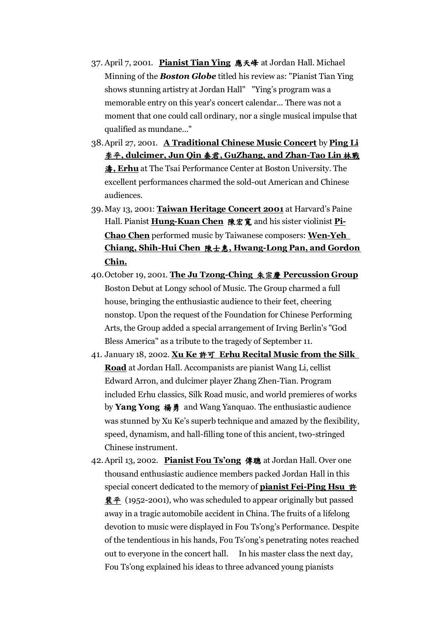- 37. April 7, 2001. **Pianist Tian Ying** 應天峰 at Jordan Hall. Michael Minning of the *Boston Globe* titled his review as: "Pianist Tian Ying shows stunning artistry at Jordan Hall" "Ying's program was a memorable entry on this year's concert calendar... There was not a moment that one could call ordinary, nor a single musical impulse that qualified as mundane..."
- 38.April 27, 2001. **A Traditional Chinese Music Concert** by **Ping Li** 李平**, dulcimer, Jun Qin** 秦君**, GuZhang, and Zhan-Tao Lin** 林戰 濤**, Erhu** at The Tsai Performance Center at Boston University. The excellent performances charmed the sold-out American and Chinese audiences.
- 39.May 13, 2001: **Taiwan Heritage Concert 2001** at Harvard's Paine Hall. Pianist **Hung-Kuan Chen** 陳宏寬 and his sister violinist **Pi-Chao Chen** performed music by Taiwanese composers: **Wen-Yeh Chiang, Shih-Hui Chen** 陳士惠**, Hwang-Long Pan, and Gordon Chin.**
- 40.October 19, 2001. **The Ju Tzong-Ching** 朱宗慶 **Percussion Group** Boston Debut at Longy school of Music. The Group charmed a full house, bringing the enthusiastic audience to their feet, cheering nonstop. Upon the request of the Foundation for Chinese Performing Arts, the Group added a special arrangement of Irving Berlin's "God Bless America" as a tribute to the tragedy of September 11.
- 41. January 18, 2002. **Xu Ke** 許可 **Erhu Recital Music from the Silk Road** at Jordan Hall. Accompanists are pianist Wang Li, cellist Edward Arron, and dulcimer player Zhang Zhen-Tian. Program included Erhu classics, Silk Road music, and world premieres of works by **Yang Yong** 楊勇 and Wang Yanquao. The enthusiastic audience was stunned by Xu Ke's superb technique and amazed by the flexibility, speed, dynamism, and hall-filling tone of this ancient, two-stringed Chinese instrument.
- 42.April 13, 2002. **Pianist Fou Ts'ong** 傳聰 at Jordan Hall. Over one thousand enthusiastic audience members packed Jordan Hall in this special concert dedicated to the memory of **pianist Fei-Ping Hsu** 許 **裴平** (1952-2001), who was scheduled to appear originally but passed away in a tragic automobile accident in China. The fruits of a lifelong devotion to music were displayed in Fou Ts'ong's Performance. Despite of the tendentious in his hands, Fou Ts'ong's penetrating notes reached out to everyone in the concert hall. In his master class the next day, Fou Ts'ong explained his ideas to three advanced young pianists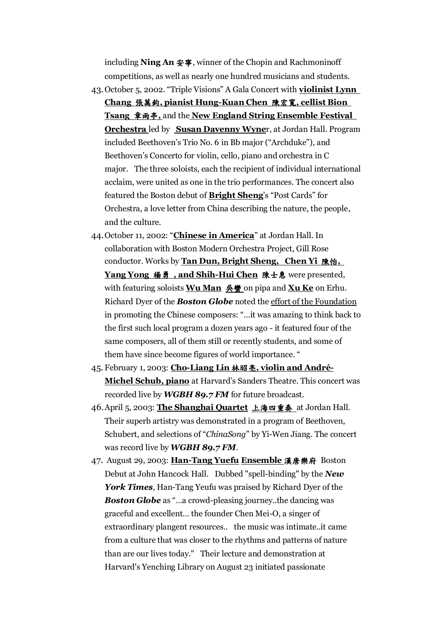including **Ning An** 安寧, winner of the Chopin and Rachmoninoff competitions, as well as nearly one hundred musicians and students.

- 43.October 5, 2002. "Triple Visions" A Gala Concert with **violinist Lynn Chang** 張萬鈞**, pianist Hung-Kuan Chen** 陳宏寬**, cellist Bion Tsang** 章雨亭**,** and the **New England String Ensemble Festival Orchestra** led by **Susan Davenny Wyne**r, at Jordan Hall. Program included Beethoven's Trio No. 6 in Bb major ("Archduke"), and Beethoven's Concerto for violin, cello, piano and orchestra in C major. The three soloists, each the recipient of individual international acclaim, were united as one in the trio performances. The concert also featured the Boston debut of **Bright Sheng**'s "Post Cards" for Orchestra, a love letter from China describing the nature, the people, and the culture.
- 44.October 11, 2002: "**Chinese in America**" at Jordan Hall. In collaboration with Boston Modern Orchestra Project, Gill Rose conductor. Works by **Tan Dun, Bright Sheng, Chen Yi** 陳怡**, Yang Yong** 楊勇 **, and Shih-Hui Chen** 陳士惠 were presented, with featuring soloists **Wu Man** 吳蠻 on pipa and **Xu Ke** on Erhu. Richard Dyer of the *Boston Globe* noted the effort of the Foundation in promoting the Chinese composers: "…it was amazing to think back to the first such local program a dozen years ago - it featured four of the same composers, all of them still or recently students, and some of them have since become figures of world importance. "
- 45. February 1, 2003: **Cho-Liang Lin** 林昭亮**, violin and André-Michel Schub, piano** at Harvard's Sanders Theatre. This concert was recorded live by *WGBH 89.7 FM* for future broadcast.
- 46.April 5, 2003: **The Shanghai Quartet** 上海四重奏 at Jordan Hall. Their superb artistry was demonstrated in a program of Beethoven, Schubert, and selections of "*ChinaSong*" by Yi-Wen Jiang. The concert was record live by *WGBH 89.7 FM*.
- 47. August 29, 2003: **Han-Tang Yuefu Ensemble** 漢唐樂府 Boston Debut at John Hancock Hall. Dubbed "spell-binding" by the *New York Times*, Han-Tang Yeufu was praised by Richard Dyer of the *Boston Globe* as "…a crowd-pleasing journey..the dancing was graceful and excellent… the founder Chen Mei-O, a singer of extraordinary plangent resources.. the music was intimate..it came from a culture that was closer to the rhythms and patterns of nature than are our lives today." Their lecture and demonstration at Harvard's Yenching Library on August 23 initiated passionate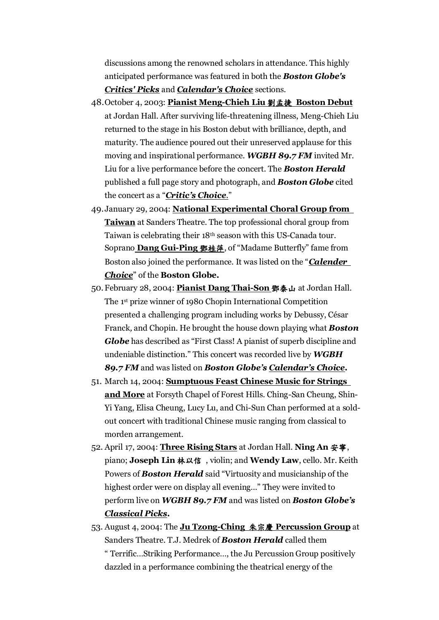discussions among the renowned scholars in attendance. This highly anticipated performance was featured in both the *Boston Globe's Critics' Picks* and *Calendar's Choice* sections.

- 48.October 4, 2003: **Pianist Meng-Chieh Liu** 劉孟捷 **Boston Debut** at Jordan Hall. After surviving life-threatening illness, Meng-Chieh Liu returned to the stage in his Boston debut with brilliance, depth, and maturity. The audience poured out their unreserved applause for this moving and inspirational performance. *WGBH 89.7 FM* invited Mr. Liu for a live performance before the concert. The *Boston Herald* published a full page story and photograph, and *Boston Globe* cited the concert as a "*Critic's Choice*."
- 49.January 29, 2004: **National Experimental Choral Group from Taiwan** at Sanders Theatre. The top professional choral group from Taiwan is celebrating their 18th season with this US-Canada tour. Soprano **Dang Gui-Ping** 鄧桂萍, of "Madame Butterfly" fame from Boston also joined the performance. It was listed on the "*Calender Choice*" of the **Boston Globe.**
- 50.February 28, 2004: **Pianist Dang Thai-Son** 鄧泰山 at Jordan Hall. The 1st prize winner of 1980 Chopin International Competition presented a challenging program including works by Debussy, César Franck*,* and Chopin. He brought the house down playing what *Boston Globe* has described as "First Class! A pianist of superb discipline and undeniable distinction." This concert was recorded live by *WGBH 89.7 FM* and was listed on *Boston Globe's Calendar's Choice.*
- 51. March 14, 2004: **Sumptuous Feast Chinese Music for Strings and More** at Forsyth Chapel of Forest Hills. Ching-San Cheung, Shin-Yi Yang, Elisa Cheung, Lucy Lu, and Chi-Sun Chan performed at a soldout concert with traditional Chinese music ranging from classical to morden arrangement.
- 52. April 17, 2004: **Three Rising Stars** at Jordan Hall. **Ning An** 安寧, piano; **Joseph Lin** 林以信 , violin; and **Wendy Law**, cello. Mr. Keith Powers of *Boston Herald* said "Virtuosity and musicianship of the highest order were on display all evening…" They were invited to perform live on *WGBH 89.7 FM* and was listed on *Boston Globe's Classical Picks.*
- 53. August 4, 2004: The **Ju Tzong-Ching** 朱宗慶 **Percussion Group** at Sanders Theatre. T.J. Medrek of *Boston Herald* called them " Terrific…Striking Performance…, the Ju Percussion Group positively dazzled in a performance combining the theatrical energy of the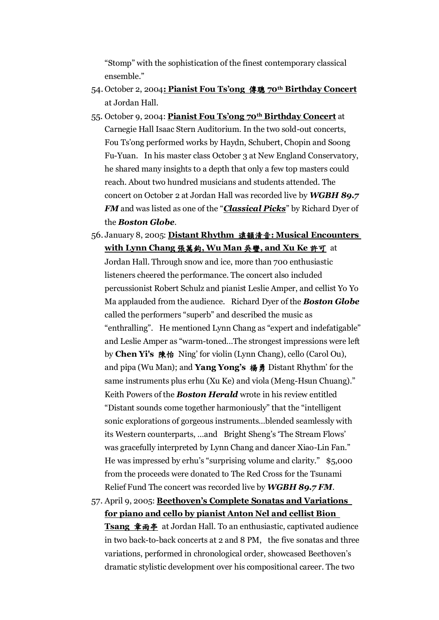"Stomp" with the sophistication of the finest contemporary classical ensemble."

- 54. October 2, 2004**: Pianist Fou Ts'ong** 傳聰 **70th Birthday Concert** at Jordan Hall.
- 55. October 9, 2004: **Pianist Fou Ts'ong 70th Birthday Concert** at Carnegie Hall Isaac Stern Auditorium. In the two sold-out concerts, Fou Ts'ong performed works by Haydn, Schubert, Chopin and Soong Fu-Yuan. In his master class October 3 at New England Conservatory, he shared many insights to a depth that only a few top masters could reach. About two hundred musicians and students attended. The concert on October 2 at Jordan Hall was recorded live by *WGBH 89.7 FM* and was listed as one of the "*Classical Picks*" by Richard Dyer of the *Boston Globe*.
- 56. January 8, 2005: **Distant Rhythm** 遠韻清音**: Musical Encounters with Lynn Chang** 張萬鈞**, Wu Man** 吳蠻**, and Xu Ke** 許可 at Jordan Hall. Through snow and ice, more than 700 enthusiastic listeners cheered the performance. The concert also included percussionist Robert Schulz and pianist Leslie Amper, and cellist Yo Yo Ma applauded from the audience. Richard Dyer of the *Boston Globe* called the performers "superb" and described the music as "enthralling". He mentioned Lynn Chang as "expert and indefatigable" and Leslie Amper as "warm-toned…The strongest impressions were left by **Chen Yi's** 陳怡 Ning' for violin (Lynn Chang), cello (Carol Ou), and pipa (Wu Man); and **Yang Yong's** 楊勇 Distant Rhythm' for the same instruments plus erhu (Xu Ke) and viola (Meng-Hsun Chuang)." Keith Powers of the *Boston Herald* wrote in his review entitled "Distant sounds come together harmoniously" that the "intelligent sonic explorations of gorgeous instruments…blended seamlessly with its Western counterparts, …and Bright Sheng's 'The Stream Flows' was gracefully interpreted by Lynn Chang and dancer Xiao-Lin Fan." He was impressed by erhu's "surprising volume and clarity." \$5,000 from the proceeds were donated to The Red Cross for the Tsunami Relief Fund The concert was recorded live by *WGBH 89.7 FM*.
- 57. April 9, 2005: **Beethoven's Complete Sonatas and Variations for piano and cello by pianist Anton Nel and cellist Bion Tsang** 章雨亭 at Jordan Hall. To an enthusiastic, captivated audience in two back-to-back concerts at 2 and 8 PM, the five sonatas and three variations, performed in chronological order, showcased Beethoven's dramatic stylistic development over his compositional career. The two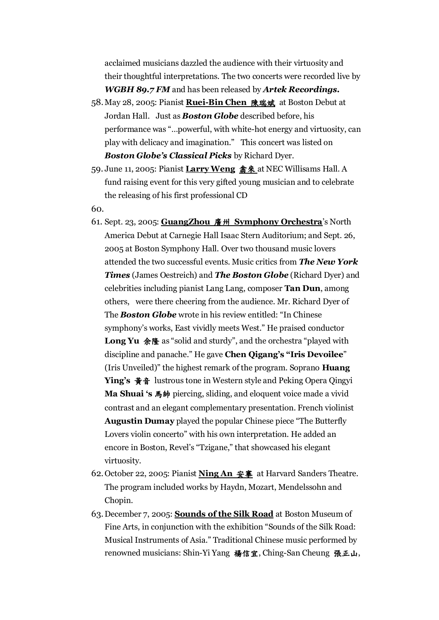acclaimed musicians dazzled the audience with their virtuosity and their thoughtful interpretations. The two concerts were recorded live by *WGBH 89.7 FM* and has been released by *Artek Recordings.*

- 58.May 28, 2005: Pianist **Ruei-Bin Chen** 陳瑞斌 at Boston Debut at Jordan Hall. Just as *Boston Globe* described before, his performance was "…powerful, with white-hot energy and virtuosity, can play with delicacy and imagination." This concert was listed on *Boston Globe's Classical Picks* by Richard Dyer.
- 59. June 11, 2005: Pianist **Larry Weng** 翕來 at NEC Willisams Hall. A fund raising event for this very gifted young musician and to celebrate the releasing of his first professional CD
- 60.
- 61. Sept. 23, 2005: **GuangZhou** 廣州 **Symphony Orchestra**'s North America Debut at Carnegie Hall Isaac Stern Auditorium; and Sept. 26, 2005 at Boston Symphony Hall. Over two thousand music lovers attended the two successful events. Music critics from *The New York Times* (James Oestreich) and *The Boston Globe* (Richard Dyer) and celebrities including pianist Lang Lang, composer **Tan Dun**, among others, were there cheering from the audience. Mr. Richard Dyer of The *Boston Globe* wrote in his review entitled: "In Chinese symphony's works, East vividly meets West." He praised conductor **Long Yu** 余隆 as "solid and sturdy", and the orchestra "played with discipline and panache." He gave **Chen Qigang's "Iris Devoilee**" (Iris Unveiled)" the highest remark of the program. Soprano **Huang Ying's** 黃音 lustrous tone in Western style and Peking Opera Qingyi **Ma Shuai 's** 馬帥 piercing, sliding, and eloquent voice made a vivid contrast and an elegant complementary presentation. French violinist **Augustin Dumay** played the popular Chinese piece "The Butterfly Lovers violin concerto" with his own interpretation. He added an encore in Boston, Revel's "Tzigane," that showcased his elegant virtuosity.
- 62.October 22, 2005: Pianist **Ning An** 安搴 at Harvard Sanders Theatre. The program included works by Haydn, Mozart, Mendelssohn and Chopin.
- 63.December 7, 2005: **Sounds of the Silk Road** at Boston Museum of Fine Arts, in conjunction with the exhibition "Sounds of the Silk Road: Musical Instruments of Asia." Traditional Chinese music performed by renowned musicians: Shin-Yi Yang 楊信宜, Ching-San Cheung 張正山,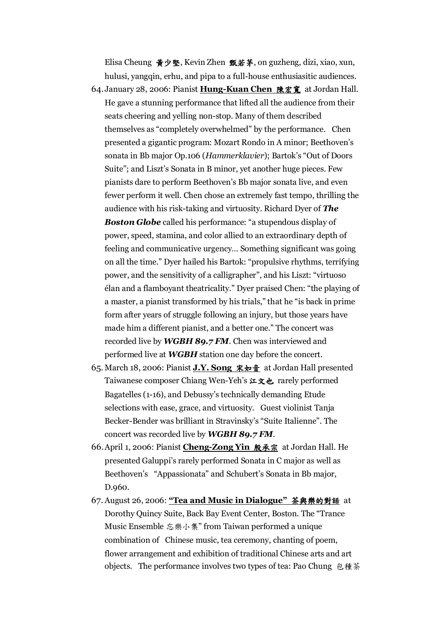Elisa Cheung 黃少堅, Kevin Zhen 甄若茅, on guzheng, dizi, xiao, xun, hulusi, yangqin, erhu, and pipa to a full-house enthusiasitic audiences. 64.January 28, 2006: Pianist **Hung-Kuan Chen** 陳宏寬 at Jordan Hall. He gave a stunning performance that lifted all the audience from their seats cheering and yelling non-stop. Many of them described themselves as "completely overwhelmed" by the performance. Chen presented a gigantic program: Mozart Rondo in A minor; Beethoven's sonata in Bb major Op.106 (*Hammerklavier*); Bartok's "Out of Doors Suite"; and Liszt's Sonata in B minor, yet another huge pieces. Few pianists dare to perform Beethoven's Bb major sonata live, and even fewer perform it well. Chen chose an extremely fast tempo, thrilling the audience with his risk-taking and virtuosity. Richard Dyer of *The* **Boston Globe** called his performance: "a stupendous display of power, speed, stamina, and color allied to an extraordinary depth of feeling and communicative urgency… Something significant was going on all the time." Dyer hailed his Bartok: "propulsive rhythms, terrifying power, and the sensitivity of a calligrapher", and his Liszt: "virtuoso élan and a flamboyant theatricality." Dyer praised Chen: "the playing of a master, a pianist transformed by his trials," that he "is back in prime form after years of struggle following an injury, but those years have made him a different pianist, and a better one." The concert was recorded live by *WGBH 89.7 FM*. Chen was interviewed and performed live at *WGBH* station one day before the concert.

- 65. March 18, 2006: Pianist **J.Y. Song** 宋如音 at Jordan Hall presented Taiwanese composer Chiang Wen-Yeh's 江文也 rarely performed Bagatelles (1-16), and Debussy's technically demanding Etude selections with ease, grace, and virtuosity. Guest violinist Tanja Becker-Bender was brilliant in Stravinsky's "Suite Italienne". The concert was recorded live by *WGBH 89.7 FM*.
- 66.April 1, 2006: Pianist **Cheng-Zong Yin** 殷承宗 at Jordan Hall. He presented Galuppi's rarely performed Sonata in C major as well as Beethoven's "Appassionata" and Schubert's Sonata in Bb major, D.960.
- 67. August 26, 2006: **"Tea and Music in Dialogue"** 茶與樂的對話 at Dorothy Quincy Suite, Back Bay Event Center, Boston. The "Trance Music Ensemble 忘樂小集" from Taiwan performed a unique combination of Chinese music, tea ceremony, chanting of poem, flower arrangement and exhibition of traditional Chinese arts and art objects. The performance involves two types of tea: Pao Chung 包種茶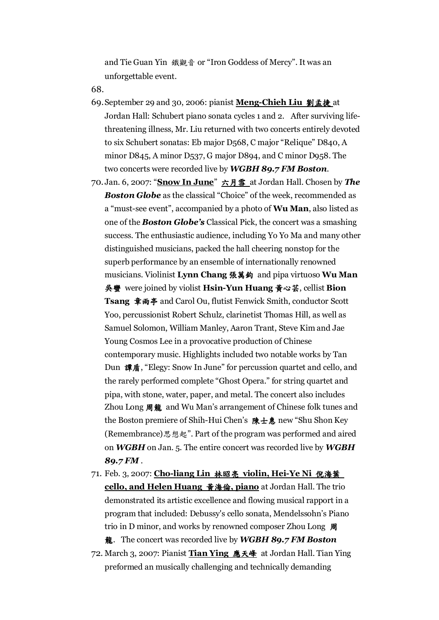and Tie Guan Yin 鐵觀音 or "Iron Goddess of Mercy". It was an unforgettable event.

68.

- 69.September 29 and 30, 2006: pianist **Meng-Chieh Liu** 劉孟捷 at Jordan Hall: Schubert piano sonata cycles 1 and 2. After surviving lifethreatening illness, Mr. Liu returned with two concerts entirely devoted to six Schubert sonatas: Eb major D568, C major "Relique" D840, A minor D845, A minor D537, G major D894, and C minor D958. The two concerts were recorded live by *WGBH 89.7 FM Boston*.
- 70. Jan. 6, 2007: "**Snow In June**" 六月雪 at Jordan Hall. Chosen by *The Boston Globe* as the classical "Choice" of the week, recommended as a "must-see event", accompanied by a photo of **Wu Man**, also listed as one of the *Boston Globe's* Classical Pick, the concert was a smashing success. The enthusiastic audience, including Yo Yo Ma and many other distinguished musicians, packed the hall cheering nonstop for the superb performance by an ensemble of internationally renowned musicians. Violinist **Lynn Chang** 張萬鈞 and pipa virtuoso **Wu Man** 吳蠻 were joined by violist **Hsin-Yun Huang** 黃心芸, cellist **Bion Tsang** 章雨亭 and Carol Ou, flutist Fenwick Smith, conductor Scott Yoo, percussionist Robert Schulz, clarinetist Thomas Hill, as well as Samuel Solomon, William Manley, Aaron Trant, Steve Kim and Jae Young Cosmos Lee in a provocative production of Chinese contemporary music. Highlights included two notable works by Tan Dun 譚盾, "Elegy: Snow In June" for percussion quartet and cello, and the rarely performed complete "Ghost Opera." for string quartet and pipa, with stone, water, paper, and metal. The concert also includes Zhou Long 周龍 and Wu Man's arrangement of Chinese folk tunes and the Boston premiere of Shih-Hui Chen's 陳士惠 new "Shu Shon Key (Remembrance)思想起". Part of the program was performed and aired on *WGBH* on Jan. 5. The entire concert was recorded live by *WGBH 89.7 FM* .
- 71. Feb. 3, 2007: **Cho-liang Lin** 林昭亮 **violin, Hei-Ye Ni** 倪海葉 **cello, and Helen Huang** 黃海倫**, piano** at Jordan Hall. The trio demonstrated its artistic excellence and flowing musical rapport in a program that included: Debussy's cello sonata, Mendelssohn's Piano trio in D minor, and works by renowned composer Zhou Long 周

龍. The concert was recorded live by *WGBH 89.7 FM Boston*

72. March 3, 2007: Pianist **Tian Ying** 應天峰 at Jordan Hall. Tian Ying preformed an musically challenging and technically demanding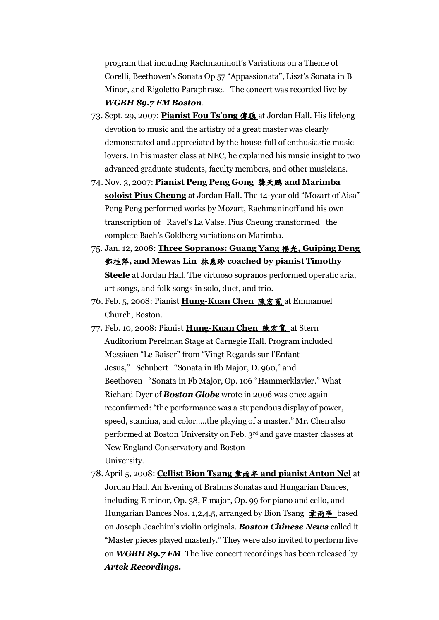program that including Rachmaninoff's Variations on a Theme of Corelli, Beethoven's Sonata Op 57 "Appassionata", Liszt's Sonata in B Minor, and Rigoletto Paraphrase. The concert was recorded live by *WGBH 89.7 FM Boston*.

- 73. Sept. 29, 2007: **Pianist Fou Ts'ong** 傳聰 at Jordan Hall. His lifelong devotion to music and the artistry of a great master was clearly demonstrated and appreciated by the house-full of enthusiastic music lovers. In his master class at NEC, he explained his music insight to two advanced graduate students, faculty members, and other musicians.
- 74. Nov. 3, 2007: **Pianist Peng Peng Gong** 龔天鵬 **and Marimba soloist Pius Cheung** at Jordan Hall. The 14-year old "Mozart of Aisa" Peng Peng performed works by Mozart, Rachmaninoff and his own transcription of Ravel's La Valse. Pius Cheung transformed the complete Bach's Goldberg variations on Marimba.
- 75. Jan. 12, 2008: **Three Sopranos: Guang Yang** 楊光**, Guiping Deng**  鄧桂萍**, and Mewas Lin** 林惠珍 **coached by pianist Timothy Steele** at Jordan Hall. The virtuoso sopranos performed operatic aria, art songs, and folk songs in solo, duet, and trio.
- 76. Feb. 5, 2008: Pianist **Hung-Kuan Chen** 陳宏寬 at Emmanuel Church, Boston.
- 77. Feb. 10, 2008: Pianist **Hung-Kuan Chen** 陳宏寬 at Stern Auditorium Perelman Stage at Carnegie Hall. Program included Messiaen "Le Baiser" from "Vingt Regards sur l'Enfant Jesus," Schubert "Sonata in Bb Major, D. 960," and Beethoven "Sonata in Fb Major, Op. 106 "Hammerklavier." What Richard Dyer of *Boston Globe* wrote in 2006 was once again reconfirmed: "the performance was a stupendous display of power, speed, stamina, and color…..the playing of a master." Mr. Chen also performed at Boston University on Feb. 3rd and gave master classes at New England Conservatory and Boston University.
- 78.April 5, 2008: **Cellist Bion Tsang** 章雨亭 **and pianist Anton Nel** at Jordan Hall. An Evening of Brahms Sonatas and Hungarian Dances, including E minor, Op. 38, F major, Op. 99 for piano and cello, and Hungarian Dances Nos. 1,2,4,5, arranged by Bion Tsang 章雨亭 based on Joseph Joachim's violin originals. *Boston Chinese News* called it "Master pieces played masterly." They were also invited to perform live on *WGBH 89.7 FM*. The live concert recordings has been released by *Artek Recordings.*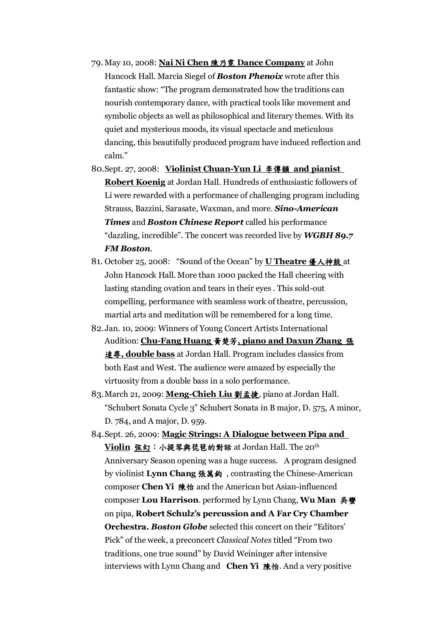- 79. May 10, 2008: **Nai Ni Chen** 陳乃霓 **Dance Company** at John Hancock Hall. Marcia Siegel of *Boston Phenoix* wrote after this fantastic show: "The program demonstrated how the traditions can nourish contemporary dance, with practical tools like movement and symbolic objects as well as philosophical and literary themes. With its quiet and mysterious moods, its visual spectacle and meticulous dancing, this beautifully produced program have induced reflection and calm."
- 80.Sept. 27, 2008: **Violinist Chuan-Yun Li** 李傳韻 **and pianist Robert Koenig** at Jordan Hall. Hundreds of enthusiastic followers of Li were rewarded with a performance of challenging program including Strauss, Bazzini, Sarasate, Waxman, and more. *Sino-American Times* and *Boston Chinese Report* called his performance "dazzling, incredible". The concert was recorded live by *WGBH 89.7 FM Boston*.
- 81. October 25, 2008: "Sound of the Ocean" by **U Theatre** 優人神鼓 at John Hancock Hall. More than 1000 packed the Hall cheering with lasting standing ovation and tears in their eyes . This sold-out compelling, performance with seamless work of theatre, percussion, martial arts and meditation will be remembered for a long time.
- 82.Jan. 10, 2009: Winners of Young Concert Artists International Audition: **Chu-Fang Huang** 黃楚芳**, piano and Daxun Zhang** 張 達尋**, double bass** at Jordan Hall. Program includes classics from both East and West. The audience were amazed by especially the virtuosity from a double bass in a solo performance.
- 83.March 21, 2009: **Meng-Chieh Liu** 劉孟捷, piano at Jordan Hall. "Schubert Sonata Cycle 3" Schubert Sonata in B major, D. 575, A minor, D. 784, and A major, D. 959.
- 84.Sept. 26, 2009: **Magic Strings: A Dialogue between Pipa and Violin** 弦幻:小提琴與琵琶的對話 at Jordan Hall. The 20th Anniversary Season opening was a huge success. A program designed by violinist **Lynn Chang** 張萬鈞 , contrasting the Chinese-American composer **Chen Yi** 陳怡 and the American but Asian-influenced composer **Lou Harrison**. performed by Lynn Chang, **Wu Man** 吳蠻 on pipa, **Robert Schulz's percussion and A Far Cry Chamber Orchestra.** *Boston Globe* selected this concert on their "Editors' Pick" of the week, a preconcert *Classical Notes* titled "From two traditions, one true sound" by David Weininger after intensive interviews with Lynn Chang and **Chen Yi** 陳怡. And a very positive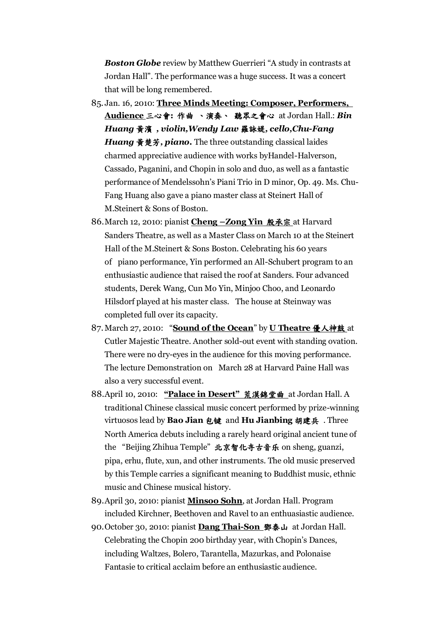*Boston Globe* review by Matthew Guerrieri "A study in contrasts at Jordan Hall". The performance was a huge success. It was a concert that will be long remembered.

- 85. Jan. 16, 2010: **Three Minds Meeting: Composer, Performers, Audience** 三心會**:** 作曲 、演奏、 聽眾之會心 at Jordan Hall.: *Bin Huang* 黃濱 *, violin,Wendy Law* 羅詠媞*, cello,Chu-Fang Huang* 黃楚芳*, piano.* The three outstanding classical laides charmed appreciative audience with works byHandel-Halverson, Cassado, Paganini, and Chopin in solo and duo, as well as a fantastic performance of Mendelssohn's Piani Trio in D minor, Op. 49. Ms. Chu-Fang Huang also gave a piano master class at Steinert Hall of M.Steinert & Sons of Boston.
- 86.March 12, 2010: pianist **Cheng –Zong Yin** 殷承宗 at Harvard Sanders Theatre, as well as a Master Class on March 10 at the Steinert Hall of the M.Steinert & Sons Boston. Celebrating his 60 years of piano performance, Yin performed an All-Schubert program to an enthusiastic audience that raised the roof at Sanders. Four advanced students, Derek Wang, Cun Mo Yin, Minjoo Choo, and Leonardo Hilsdorf played at his master class. The house at Steinway was completed full over its capacity.
- 87.March 27, 2010: "**Sound of the Ocean**" by **U Theatre** 優人神鼓 at Cutler Majestic Theatre. Another sold-out event with standing ovation. There were no dry-eyes in the audience for this moving performance. The lecture Demonstration on March 28 at Harvard Paine Hall was also a very successful event.
- 88.April 10, 2010: **"Palace in Desert"** 荒漠錦堂曲 at Jordan Hall. A traditional Chinese classical music concert performed by prize-winning virtuosos lead by **Bao Jian** 包键 and **Hu Jianbing** 胡建兵 . Three North America debuts including a rarely heard original ancient tune of the "Beijing Zhihua Temple" 北京智化寺古音乐 on sheng, guanzi, pipa, erhu, flute, xun, and other instruments. The old music preserved by this Temple carries a significant meaning to Buddhist music, ethnic music and Chinese musical history.
- 89.April 30, 2010: pianist **Minsoo Sohn**, at Jordan Hall. Program included Kirchner, Beethoven and Ravel to an enthuasiastic audience.
- 90.October 30, 2010: pianist **Dang Thai-Son** 鄧泰山 at Jordan Hall. Celebrating the Chopin 200 birthday year, with Chopin's Dances, including Waltzes, Bolero, Tarantella, Mazurkas, and Polonaise Fantasie to critical acclaim before an enthusiastic audience.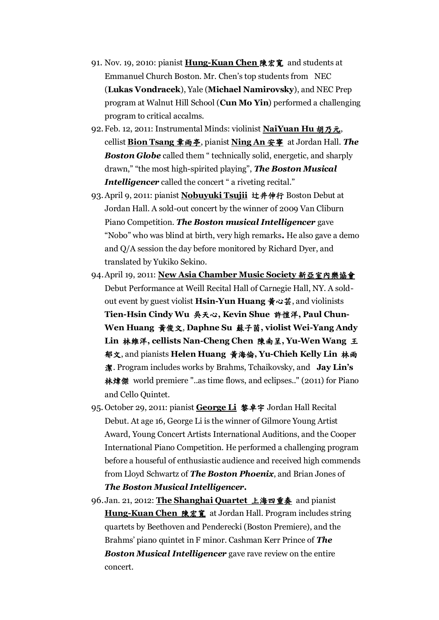- 91. Nov. 19, 2010: pianist **Hung-Kuan Chen** 陳宏寬 and students at Emmanuel Church Boston. Mr. Chen's top students from NEC (**Lukas Vondracek**), Yale (**Michael Namirovsky**), and NEC Prep program at Walnut Hill School (**Cun Mo Yin**) performed a challenging program to critical accalms.
- 92.Feb. 12, 2011: Instrumental Minds: violinist **NaiYuan Hu** 胡乃元, cellist **Bion Tsang** 章雨亭, pianist **Ning An** 安寧 at Jordan Hall. *The*  **Boston Globe** called them " technically solid, energetic, and sharply drawn," "the most high-spirited playing", *The Boston Musical Intelligencer* called the concert " a riveting recital."
- 93.April 9, 2011: pianist **Nobuyuki Tsujii** 辻井伸行 Boston Debut at Jordan Hall. A sold-out concert by the winner of 2009 Van Cliburn Piano Competition. *The Boston musical Intelligencer* gave "Nobo" who was blind at birth, very high remarks**.** He also gave a demo and Q/A session the day before monitored by Richard Dyer, and translated by Yukiko Sekino.
- 94.April 19, 2011: **New Asia Chamber Music Society** 新亞室內樂協會 Debut Performance at Weill Recital Hall of Carnegie Hall, NY. A soldout event by guest violist **Hsin-Yun Huang** 黃心芸, and violinists **Tien-Hsin Cindy Wu** 吳天心**, Kevin Shue** 許愷洋**, Paul Chun-Wen Huang** 黃俊文, **Daphne Su** 蘇子茵**, violist Wei-Yang Andy Lin** 林維洋**, cellists Nan-Cheng Chen** 陳南呈**, Yu-Wen Wang** 王 郁文, and pianists **Helen Huang** 黃海倫**, Yu-Chieh Kelly Lin** 林雨 潔. Program includes works by Brahms, Tchaikovsky, and **Jay Lin's**  林煒傑 world premiere "..as time flows, and eclipses.." (2011) for Piano and Cello Quintet.
- 95. October 29, 2011: pianist **George Li** 黎卓宇 Jordan Hall Recital Debut. At age 16, George Li is the winner of Gilmore Young Artist Award, Young Concert Artists International Auditions, and the Cooper International Piano Competition. He performed a challenging program before a houseful of enthusiastic audience and received high commends from Lloyd Schwartz of *The Boston Phoenix*, and Brian Jones of *The Boston Musical Intelligencer.*
- 96.Jan. 21, 2012: **The Shanghai Quartet** 上海四重奏 and pianist **Hung-Kuan Chen** 陳宏寬 at Jordan Hall. Program includes string quartets by Beethoven and Penderecki (Boston Premiere), and the Brahms' piano quintet in F minor. Cashman Kerr Prince of *The Boston Musical Intelligencer* gave rave review on the entire concert.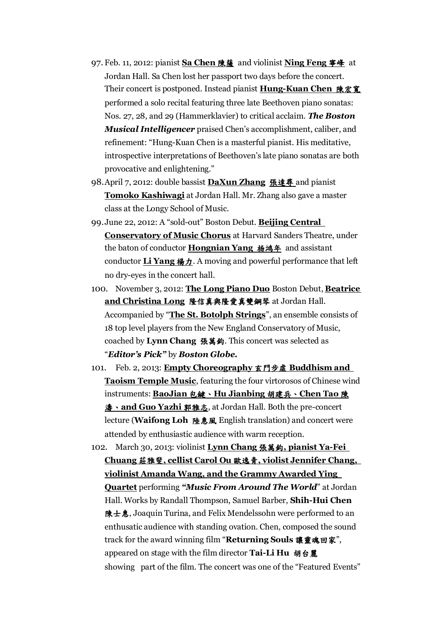- 97. Feb. 11, 2012: pianist **Sa Chen** 陳薩 and violinist **Ning Feng** 寧峰 at Jordan Hall. Sa Chen lost her passport two days before the concert. Their concert is postponed. Instead pianist **Hung-Kuan Chen** 陳宏寬 performed a solo recital featuring three late Beethoven piano sonatas: Nos. 27, 28, and 29 (Hammerklavier) to critical acclaim. *The Boston Musical Intelligencer* praised Chen's accomplishment, caliber, and refinement: "Hung-Kuan Chen is a masterful pianist. His meditative, introspective interpretations of Beethoven's late piano sonatas are both provocative and enlightening."
- 98.April 7, 2012: double bassist **DaXun Zhang** 張達尋 and pianist **Tomoko Kashiwagi** at Jordan Hall. Mr. Zhang also gave a master class at the Longy School of Music.
- 99.June 22, 2012: A "sold-out" Boston Debut. **Beijing Central Conservatory of Music Chorus** at Harvard Sanders Theatre, under the baton of conductor **Hongnian Yang** 杨鸿年 and assistant conductor **Li Yang 楊力**. A moving and powerful performance that left no dry-eyes in the concert hall.
- 100. November 3, 2012: **The Long Piano Duo** Boston Debut, **Beatrice and Christina Long** 隆信真與隆愛真雙鋼琴 at Jordan Hall. Accompanied by "**The St. Botolph Strings**", an ensemble consists of 18 top level players from the New England Conservatory of Music, coached by **Lynn Chang** 張萬鈞. This concert was selected as "*Editor's Pick"* by *Boston Globe.*
- 101. Feb. 2, 2013: **Empty Choreography** 玄門步虛 **Buddhism and Taoism Temple Music**, featuring the four virtorosos of Chinese wind instruments: **BaoJian** 包鍵、**Hu Jianbing** 胡建兵、**Chen Tao** 陳 濤、**and Guo Yazhi** 郭雅志, at Jordan Hall. Both the pre-concert lecture (**Waifong Loh** 陸惠風 English translation) and concert were attended by enthusiastic audience with warm reception.
- 102. March 30, 2013: violinist **Lynn Chang** 張萬鈞**, pianist Ya-Fei Chuang** 莊雅斐**, cellist Carol Ou** 歐逸青**, violist Jennifer Chang, violinist Amanda Wang, and the Grammy Awarded Ying Quartet** performing *"Music From Around The World*" at Jordan Hall. Works by Randall Thompson, Samuel Barber, **Shih-Hui Chen** 陳士惠, Joaquin Turina, and Felix Mendelssohn were performed to an enthusatic audience with standing ovation. Chen, composed the sound track for the award winning film "**Returning Souls** 讓靈魂回家", appeared on stage with the film director **Tai-Li Hu** 胡台麗 showing part of the film. The concert was one of the "Featured Events"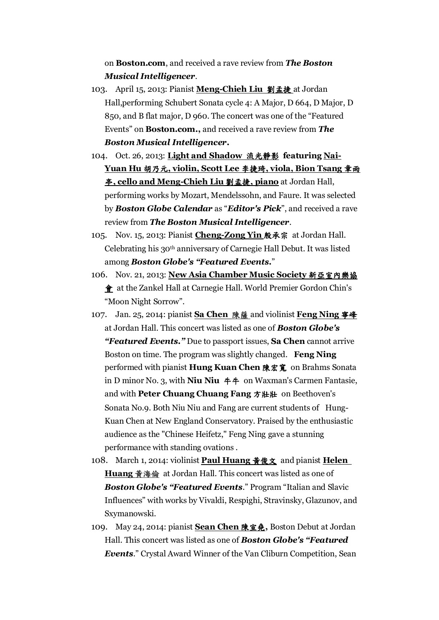on **Boston.com**, and received a rave review from *The Boston Musical Intelligencer*.

- 103. April 15, 2013: Pianist **Meng-Chieh Liu** 劉孟捷 at Jordan Hall,performing Schubert Sonata cycle 4: A Major, D 664, D Major, D 850, and B flat major, D 960. The concert was one of the "Featured Events" on **Boston.com.,** and received a rave review from *The Boston Musical Intelligencer***.**
- 104. Oct. 26, 2013: **Light and Shadow** 流光靜影 **featuring Nai-Yuan Hu** 胡乃元**, violin, Scott Lee** 李捷琦**, viola, Bion Tsang** 章雨 亭**, cello and Meng-Chieh Liu** 劉孟捷**, piano** at Jordan Hall, performing works by Mozart, Mendelssohn, and Faure. It was selected by *Boston Globe Calendar* as "*Editor's Pick*", and received a rave review from *The Boston Musical Intelligencer*.
- 105. Nov. 15, 2013: Pianist **Cheng-Zong Yin** 殷承宗 at Jordan Hall. Celebrating his 30th anniversary of Carnegie Hall Debut. It was listed among *Boston Globe's "Featured Events.*"
- 106. Nov. 21, 2013: **New Asia Chamber Music Society** 新亞室內樂協 會 at the Zankel Hall at Carnegie Hall. World Premier Gordon Chin's "Moon Night Sorrow".
- 107. Jan. 25, 2014: pianist **Sa Chen** 陳薩 and violinist **Feng Ning** 寧峰 at Jordan Hall. This concert was listed as one of *Boston Globe's "Featured Events."* Due to passport issues, **Sa Chen** cannot arrive Boston on time. The program was slightly changed. **Feng Ning** performed with pianist **Hung Kuan Chen** 陳宏寬 on Brahms Sonata in D minor No. 3, with **Niu Niu** 牛牛 on Waxman's Carmen Fantasie, and with **Peter Chuang Chuang Fang** 方壯壯 on Beethoven's Sonata No.9. Both Niu Niu and Fang are current students of Hung-Kuan Chen at New England Conservatory. Praised by the enthusiastic audience as the "Chinese Heifetz," Feng Ning gave a stunning performance with standing ovations .
- 108. March 1, 2014: violinist **Paul Huang** 黃俊文 and pianist **Helen Huang** 黃海倫 at Jordan Hall. This concert was listed as one of *Boston Globe's "Featured Events*." Program "Italian and Slavic Influences" with works by Vivaldi, Respighi, Stravinsky, Glazunov, and Sxymanowski.
- 109. May 24, 2014: pianist **Sean Chen** 陳宣堯**,** Boston Debut at Jordan Hall. This concert was listed as one of *Boston Globe's "Featured Events*." Crystal Award Winner of the Van Cliburn Competition, Sean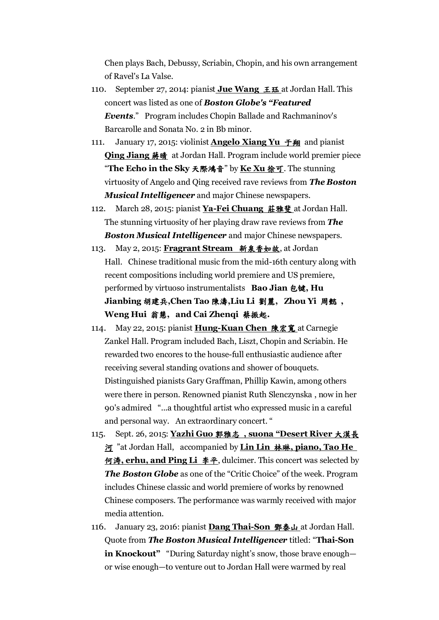Chen plays Bach, Debussy, Scriabin, Chopin, and his own arrangement of Ravel's La Valse.

- 110. September 27, 2014: pianist **Jue Wang** *LE* at Jordan Hall. This concert was listed as one of *Boston Globe's "Featured Events*." Program includes Chopin Ballade and Rachmaninov's Barcarolle and Sonata No. 2 in Bb minor.
- 111. January 17, 2015: violinist **Angelo Xiang Yu** 于翔 and pianist **Qing Jiang 蔣晴** at Jordan Hall. Program include world premier piece "**The Echo in the Sky** 天際鴻音" by **Ke Xu** 徐可. The stunning virtuosity of Angelo and Qing received rave reviews from *The Boston Musical Intelligencer* and major Chinese newspapers.
- 112. March 28, 2015: pianist **Ya-Fei Chuang** 莊雅斐 at Jordan Hall. The stunning virtuosity of her playing draw rave reviews from *The Boston Musical Intelligencer* and major Chinese newspapers.
- 113. May 2, 2015: **Fragrant Stream** 新泉香如故, at Jordan Hall. Chinese traditional music from the mid-16th century along with recent compositions including world premiere and US premiere, performed by virtuoso instrumentalists **Bao Jian** 包键**, Hu Jianbing** 胡建兵**,Chen Tao** 陳濤**,Liu Li** 劉麗**, Zhou Yi** 周懿 **, Weng Hui** 翁慧**, and Cai Zhenqi** 蔡振起**.**
- 114. May 22, 2015: pianist **Hung-Kuan Chen** 陳宏寬 at Carnegie Zankel Hall. Program included Bach, Liszt, Chopin and Scriabin. He rewarded two encores to the house-full enthusiastic audience after receiving several standing ovations and shower of bouquets. Distinguished pianists Gary Graffman, Phillip Kawin, among others were there in person. Renowned pianist Ruth Slenczynska , now in her 90's admired "...a thoughtful artist who expressed music in a careful and personal way. An extraordinary concert. "
- 115. Sept. 26, 2015: **Yazhi Guo** 郭雅志 **, suona "Desert River** 大漠長 河 "at Jordan Hall, accompanied by **Lin Lin** 林琳**, piano, Tao He**  何涛**, erhu, and Ping Li** 李平, dulcimer. This concert was selected by *The Boston Globe* as one of the "Critic Choice" of the week. Program includes Chinese classic and world premiere of works by renowned Chinese composers. The performance was warmly received with major media attention.
- 116. January 23, 2016: pianist **Dang Thai-Son** 鄧泰山 at Jordan Hall. Quote from *The Boston Musical Intelligencer* titled: "**Thai-Son in Knockout"** "During Saturday night's snow, those brave enough or wise enough—to venture out to Jordan Hall were warmed by real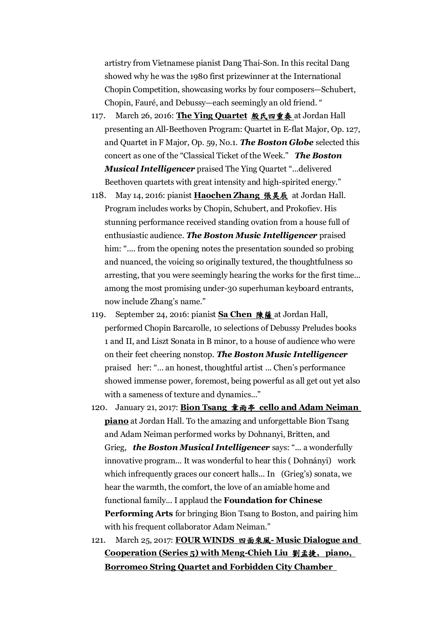artistry from Vietnamese pianist Dang Thai-Son. In this recital Dang showed why he was the 1980 first prizewinner at the International Chopin Competition, showcasing works by four composers—Schubert, Chopin, Fauré, and Debussy—each seemingly an old friend. "

- 117. March 26, 2016: **The Ying Quartet** 殷氏四重奏 at Jordan Hall presenting an All-Beethoven Program: Quartet in E-flat Major, Op. 127, and Quartet in F Major, Op. 59, No.1. *The Boston Globe* selected this concert as one of the "Classical Ticket of the Week." *The Boston Musical Intelligencer* praised The Ying Quartet "...delivered Beethoven quartets with great intensity and high-spirited energy."
- 118. May 14, 2016: pianist **Haochen Zhang** 張昊辰 at Jordan Hall. Program includes works by Chopin, Schubert, and Prokofiev. His stunning performance received standing ovation from a house full of enthusiastic audience. *The Boston Music Intelligencer* praised him: ".... from the opening notes the presentation sounded so probing and nuanced, the voicing so originally textured, the thoughtfulness so arresting, that you were seemingly hearing the works for the first time... among the most promising under-30 superhuman keyboard entrants, now include Zhang's name."
- 119. September 24, 2016: pianist **Sa Chen** 陳薩 at Jordan Hall, performed Chopin Barcarolle, 10 selections of Debussy Preludes books 1 and II, and Liszt Sonata in B minor, to a house of audience who were on their feet cheering nonstop. *The Boston Music Intelligencer* praised her: "… an honest, thoughtful artist ... Chen's performance showed immense power, foremost, being powerful as all get out yet also with a sameness of texture and dynamics..."
- 120. January 21, 2017: **Bion Tsang** 章雨亭 **cello and Adam Neiman piano** at Jordan Hall. To the amazing and unforgettable Bion Tsang and Adam Neiman performed works by Dohnanyi, Britten, and Grieg, *the Boston Musical Intelligencer* says: "... a wonderfully innovative program... It was wonderful to hear this ( Dohnányi) work which infrequently graces our concert halls... In (Grieg's) sonata, we hear the warmth, the comfort, the love of an amiable home and functional family... I applaud the **Foundation for Chinese Performing Arts** for bringing Bion Tsang to Boston, and pairing him with his frequent collaborator Adam Neiman."
- 121. March 25, 2017: **FOUR WINDS** 四面來風**- Music Dialogue and Cooperation (Series 5) with Meng-Chieh Liu** 劉孟捷**, piano, Borromeo String Quartet and Forbidden City Chamber**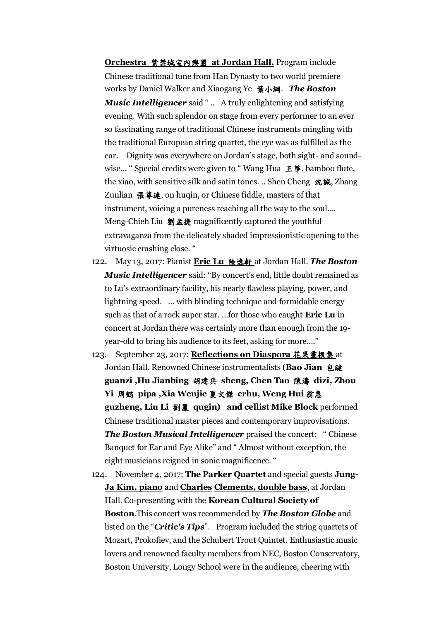**Orchestra** 紫禁城室內樂團 **at Jordan Hall.** Program include Chinese traditional tune from Han Dynasty to two world premiere works by Daniel Walker and Xiaogang Ye 葉小綱. *The Boston Music Intelligencer* said " .. A truly enlightening and satisfying evening. With such splendor on stage from every performer to an ever so fascinating range of traditional Chinese instruments mingling with the traditional European string quartet, the eye was as fulfilled as the ear. Dignity was everywhere on Jordan's stage, both sight- and soundwise... " Special credits were given to " Wang Hua 王華, bamboo flute, the xiao, with sensitive silk and satin tones. .. Shen Cheng 沈誠, Zhang Zunlian 張尊連, on huqin, or Chinese fiddle, masters of that instrument, voicing a pureness reaching all the way to the soul.... Meng-Chieh Liu 劉孟捷 magnificently captured the youthful extravaganza from the delicately shaded impressionistic opening to the virtuosic crashing close. "

- 122. May 13, 2017: Pianist **Eric Lu** 陸逸軒 at Jordan Hall. *The Boston Music Intelligencer* said: "By concert's end, little doubt remained as to Lu's extraordinary facility, his nearly flawless playing, power, and lightning speed. … with blinding technique and formidable energy such as that of a rock super star. ...for those who caught **Eric Lu** in concert at Jordan there was certainly more than enough from the 19 year-old to bring his audience to its feet, asking for more...."
- 123. September 23, 2017: **Reflections on Diaspora** 花果靈根集 at Jordan Hall. Renowned Chinese instrumentalists (**Bao Jian** 包鍵 **guanzi ,Hu Jianbing** 胡建兵 **sheng, Chen Tao** 陳濤 **dizi, Zhou Yi** 周懿 **pipa ,Xia Wenjie** 夏文傑 **erhu, Weng Hui** 翁惠 **guzheng, Liu Li** 劉麗 **qugin) and cellist Mike Block** performed Chinese traditional master pieces and contemporary improvisations. *The Boston Musical Intelligencer* praised the concert: " Chinese Banquet for Ear and Eye Alike" and " Almost without exception, the eight musicians reigned in sonic magnificence. "

124. November 4, 2017: **The Parker Quartet** and special guests **Jung-Ja Kim, piano** and **Charles Clements, double bass**, at Jordan Hall. Co-presenting with the **Korean Cultural Society of Boston**.This concert was recommended by *The Boston Globe* and listed on the "*Critic's Tips*". Program included the string quartets of Mozart, Prokofiev, and the Schubert Trout Quintet. Enthusiastic music lovers and renowned faculty members from NEC, Boston Conservatory, Boston University, Longy School were in the audience, cheering with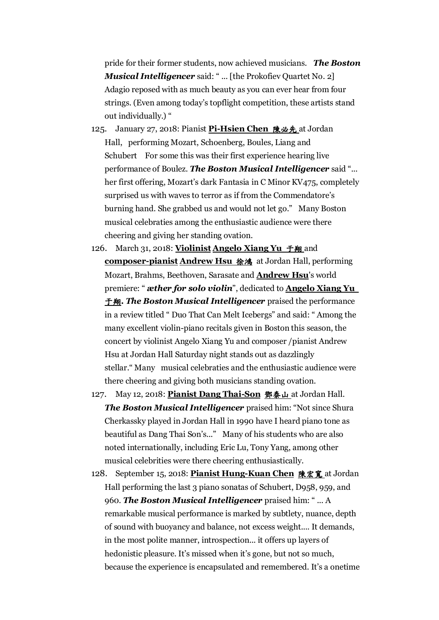pride for their former students, now achieved musicians. *The Boston Musical Intelligencer* said: "... [the Prokofiev Quartet No. 2] Adagio reposed with as much beauty as you can ever hear from four strings. (Even among today's topflight competition, these artists stand out individually.) "

- 125. January 27, 2018: Pianist **Pi-Hsien Chen** 陳必先 at Jordan Hall, performing Mozart, Schoenberg, Boules, Liang and Schubert For some this was their first experience hearing live performance of Boulez. *The Boston Musical Intelligencer* said "... her first offering, Mozart's dark Fantasia in C Minor KV475, completely surprised us with waves to terror as if from the Commendatore's burning hand. She grabbed us and would not let go." Many Boston musical celebraties among the enthusiastic audience were there cheering and giving her standing ovation.
- 126. March 31, 2018: **Violinist Angelo Xiang Yu** 于翔 and composer-pianist **Andrew Hsu 徐鴻** at Jordan Hall, performing Mozart, Brahms, Beethoven, Sarasate and **Andrew Hsu**'s world premiere: " *æther for solo violin*", dedicated to **Angelo Xiang Yu**  于翔**.** *The Boston Musical Intelligencer* praised the performance in a review titled " Duo That Can Melt Icebergs" and said: " Among the many excellent violin-piano recitals given in Boston this season, the concert by violinist Angelo Xiang Yu and composer /pianist Andrew Hsu at Jordan Hall Saturday night stands out as dazzlingly stellar." Many musical celebraties and the enthusiastic audience were there cheering and giving both musicians standing ovation.
- 127. May 12, 2018: **Pianist Dang Thai-Son** 鄧泰山 at Jordan Hall. *The Boston Musical Intelligencer* praised him: "Not since Shura Cherkassky played in Jordan Hall in 1990 have I heard piano tone as beautiful as Dang Thai Son's..." Many of his students who are also noted internationally, including Eric Lu, Tony Yang, among other musical celebrities were there cheering enthusiastically.
- 128. September 15, 2018: **Pianist Hung-Kuan Chen** 陳宏寬 at Jordan Hall performing the last 3 piano sonatas of Schubert, D958, 959, and 960. *The Boston Musical Intelligencer* praised him: " ... A remarkable musical performance is marked by subtlety, nuance, depth of sound with buoyancy and balance, not excess weight.... It demands, in the most polite manner, introspection... it offers up layers of hedonistic pleasure. It's missed when it's gone, but not so much, because the experience is encapsulated and remembered. It's a onetime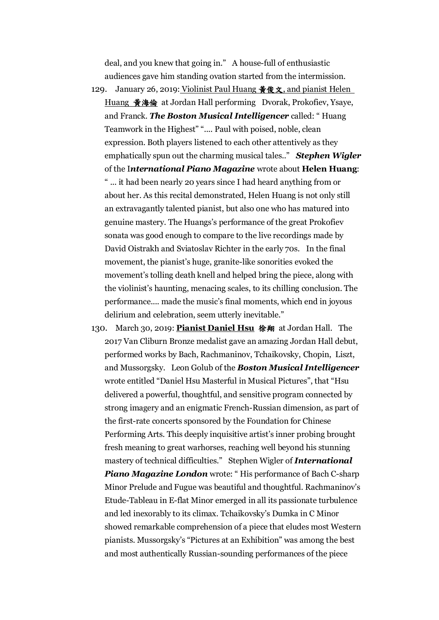deal, and you knew that going in." A house-full of enthusiastic audiences gave him standing ovation started from the intermission.

- 129. January 26, 2019: Violinist Paul Huang  $\frac{26}{5}$  &  $\frac{1}{2}$ , and pianist Helen Huang 黃海倫 at Jordan Hall performing Dvorak, Prokofiev, Ysaye, and Franck. *The Boston Musical Intelligencer* called: " Huang Teamwork in the Highest" ".... Paul with poised, noble, clean expression. Both players listened to each other attentively as they emphatically spun out the charming musical tales.." *Stephen Wigler* of the I*nternational Piano Magazine* wrote about **Helen Huang**: " ... it had been nearly 20 years since I had heard anything from or about her. As this recital demonstrated, Helen Huang is not only still an extravagantly talented pianist, but also one who has matured into genuine mastery. The Huangs's performance of the great Prokofiev sonata was good enough to compare to the live recordings made by David Oistrakh and Sviatoslav Richter in the early 70s. In the final movement, the pianist's huge, granite-like sonorities evoked the movement's tolling death knell and helped bring the piece, along with the violinist's haunting, menacing scales, to its chilling conclusion. The performance.... made the music's final moments, which end in joyous delirium and celebration, seem utterly inevitable."
- 130. March 30, 2019: **Pianist Daniel Hsu** 徐翔 at Jordan Hall. The 2017 Van Cliburn Bronze medalist gave an amazing Jordan Hall debut, performed works by Bach, Rachmaninov, Tchaikovsky, Chopin, Liszt, and Mussorgsky. Leon Golub of the *Boston Musical Intelligencer* wrote entitled "Daniel Hsu Masterful in Musical Pictures", that "Hsu delivered a powerful, thoughtful, and sensitive program connected by strong imagery and an enigmatic French-Russian dimension, as part of the first-rate concerts sponsored by the Foundation for Chinese Performing Arts. This deeply inquisitive artist's inner probing brought fresh meaning to great warhorses, reaching well beyond his stunning mastery of technical difficulties." Stephen Wigler of *International*  **Piano Magazine London** wrote: "His performance of Bach C-sharp Minor Prelude and Fugue was beautiful and thoughtful. Rachmaninov's Etude-Tableau in E-flat Minor emerged in all its passionate turbulence and led inexorably to its climax. Tchaikovsky's Dumka in C Minor showed remarkable comprehension of a piece that eludes most Western pianists. Mussorgsky's "Pictures at an Exhibition" was among the best and most authentically Russian-sounding performances of the piece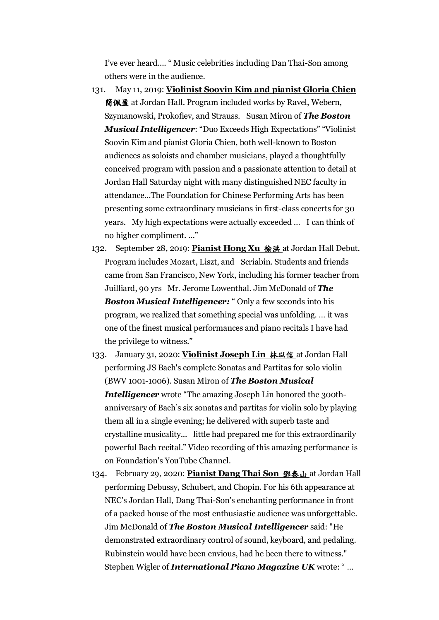I've ever heard.... " Music celebrities including Dan Thai-Son among others were in the audience.

- 131. May 11, 2019: **Violinist Soovin Kim and pianist Gloria Chien** 簡佩盈 at Jordan Hall. Program included works by Ravel, Webern, Szymanowski, Prokofiev, and Strauss. Susan Miron of *The Boston Musical Intelligencer*: "Duo Exceeds High Expectations" "Violinist Soovin Kim and pianist Gloria Chien, both well-known to Boston audiences as soloists and chamber musicians, played a thoughtfully conceived program with passion and a passionate attention to detail at Jordan Hall Saturday night with many distinguished NEC faculty in attendance...The Foundation for Chinese Performing Arts has been presenting some extraordinary musicians in first-class concerts for 30 years. My high expectations were actually exceeded … I can think of no higher compliment. ..."
- 132. September 28, 2019: **Pianist Hong Xu** 徐洪 at Jordan Hall Debut. Program includes Mozart, Liszt, and Scriabin. Students and friends came from San Francisco, New York, including his former teacher from Juilliard, 90 yrs Mr. Jerome Lowenthal. Jim McDonald of *The Boston Musical Intelligencer:* " Only a few seconds into his program, we realized that something special was unfolding. … it was one of the finest musical performances and piano recitals I have had the privilege to witness."
- 133. January 31, 2020: **Violinist Joseph Lin** 林以信 at Jordan Hall performing JS Bach's complete Sonatas and Partitas for solo violin (BWV 1001-1006). Susan Miron of *The Boston Musical Intelligencer* wrote "The amazing Joseph Lin honored the 300thanniversary of Bach's six sonatas and partitas for violin solo by playing them all in a single evening; he delivered with superb taste and crystalline musicality... little had prepared me for this extraordinarily powerful Bach recital." Video recording of this amazing performance is on Foundation's YouTube Channel.
- 134. February 29, 2020: **Pianist Dang Thai Son** 鄧泰山 at Jordan Hall performing Debussy, Schubert, and Chopin. For his 6th appearance at NEC's Jordan Hall, Dang Thai-Son's enchanting performance in front of a packed house of the most enthusiastic audience was unforgettable. Jim McDonald of *The Boston Musical Intelligencer* said: "He demonstrated extraordinary control of sound, keyboard, and pedaling. Rubinstein would have been envious, had he been there to witness." Stephen Wigler of *International Piano Magazine UK* wrote: " …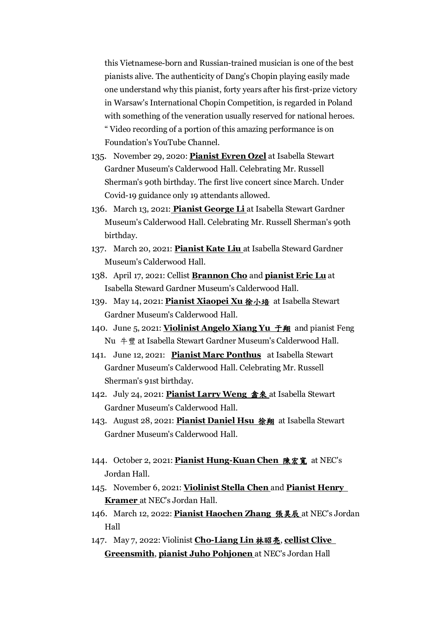this Vietnamese-born and Russian-trained musician is one of the best pianists alive. The authenticity of Dang's Chopin playing easily made one understand why this pianist, forty years after his first-prize victory in Warsaw's International Chopin Competition, is regarded in Poland with something of the veneration usually reserved for national heroes. " Video recording of a portion of this amazing performance is on Foundation's YouTube Channel.

- 135. November 29, 2020: **Pianist Evren Ozel** at Isabella Stewart Gardner Museum's Calderwood Hall. Celebrating Mr. Russell Sherman's 90th birthday. The first live concert since March. Under Covid-19 guidance only 19 attendants allowed.
- 136. March 13, 2021: **Pianist George Li** at Isabella Stewart Gardner Museum's Calderwood Hall. Celebrating Mr. Russell Sherman's 90th birthday.
- 137. March 20, 2021: **Pianist Kate Liu** at Isabella Steward Gardner Museum's Calderwood Hall.
- 138. April 17, 2021: Cellist **Brannon Cho** and **pianist Eric Lu** at Isabella Steward Gardner Museum's Calderwood Hall.
- 139. May 14, 2021: **Pianist Xiaopei Xu** 徐小培 at Isabella Stewart Gardner Museum's Calderwood Hall.
- 140. June 5, 2021: **Violinist Angelo Xiang Yu** 于翔 and pianist Feng Nu 牛豐 at Isabella Stewart Gardner Museum's Calderwood Hall.
- 141. June 12, 2021: **Pianist Marc Ponthus** at Isabella Stewart Gardner Museum's Calderwood Hall. Celebrating Mr. Russell Sherman's 91st birthday.
- 142. July 24, 2021: **Pianist Larry Weng** 翕來 at Isabella Stewart Gardner Museum's Calderwood Hall.
- 143. August 28, 2021: **Pianist Daniel Hsu** 徐翔 at Isabella Stewart Gardner Museum's Calderwood Hall.
- 144. October 2, 2021: **Pianist Hung-Kuan Chen** 陳宏寬 at NEC's Jordan Hall.
- 145. November 6, 2021: **Violinist Stella Chen** and **Pianist Henry Kramer** at NEC's Jordan Hall.
- 146. March 12, 2022: **Pianist Haochen Zhang** 張昊辰 at NEC's Jordan Hall
- 147. May 7, 2022: Violinist **Cho-Liang Lin** 林昭亮, **cellist Clive Greensmith**, **pianist Juho Pohjonen** at NEC's Jordan Hall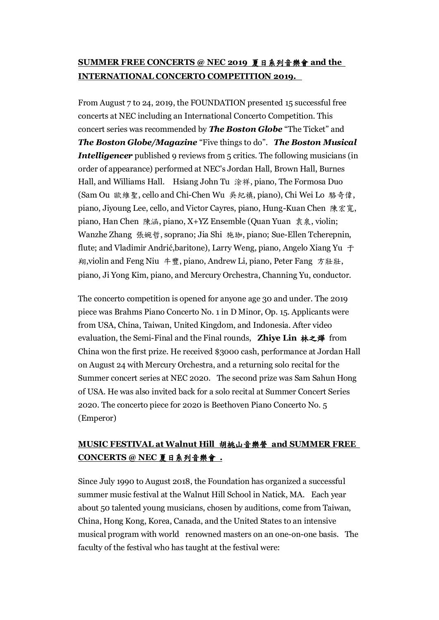## **SUMMER FREE CONCERTS @ NEC 2019** 夏日系列音樂會 **and the INTERNATIONAL CONCERTO COMPETITION 2019.**

From August 7 to 24, 2019, the FOUNDATION presented 15 successful free concerts at NEC including an International Concerto Competition. This concert series was recommended by *The Boston Globe* "The Ticket" and *The Boston Globe/Magazine* "Five things to do". *The Boston Musical Intelligencer* published 9 reviews from 5 critics. The following musicians (in order of appearance) performed at NEC's Jordan Hall, Brown Hall, Burnes Hall, and Williams Hall. Hsiang John Tu 涂祥, piano, The Formosa Duo (Sam Ou 歐維聖, cello and Chi-Chen Wu 吳紀禛, piano), Chi Wei Lo 駱奇偉, piano, Jiyoung Lee, cello, and Victor Cayres, piano, Hung-Kuan Chen 陳宏寬, piano, Han Chen 陳涵, piano, X+YZ Ensemble (Quan Yuan 袁泉, violin; Wanzhe Zhang 張婉哲, soprano; Jia Shi 施珈, piano; Sue-Ellen Tcherepnin, flute; and Vladimir Andrić,baritone), Larry Weng, piano, Angelo Xiang Yu 于 翔,violin and Feng Niu 牛豐, piano, Andrew Li, piano, Peter Fang 方壯壯, piano, Ji Yong Kim, piano, and Mercury Orchestra, Channing Yu, conductor.

The concerto competition is opened for anyone age 30 and under. The 2019 piece was Brahms Piano Concerto No. 1 in D Minor, Op. 15. Applicants were from USA, China, Taiwan, United Kingdom, and Indonesia. After video evaluation, the Semi-Final and the Final rounds, **Zhiye Lin** 林之燁 from China won the first prize. He received \$3000 cash, performance at Jordan Hall on August 24 with Mercury Orchestra, and a returning solo recital for the Summer concert series at NEC 2020. The second prize was Sam Sahun Hong of USA. He was also invited back for a solo recital at Summer Concert Series 2020. The concerto piece for 2020 is Beethoven Piano Concerto No. 5 (Emperor)

### **MUSIC FESTIVAL at Walnut Hill** 胡桃山音樂營 **and SUMMER FREE CONCERTS @ NEC** 夏日系列音樂會 **.**

Since July 1990 to August 2018, the Foundation has organized a successful summer music festival at the Walnut Hill School in Natick, MA. Each year about 50 talented young musicians, chosen by auditions, come from Taiwan, China, Hong Kong, Korea, Canada, and the United States to an intensive musical program with world renowned masters on an one-on-one basis. The faculty of the festival who has taught at the festival were: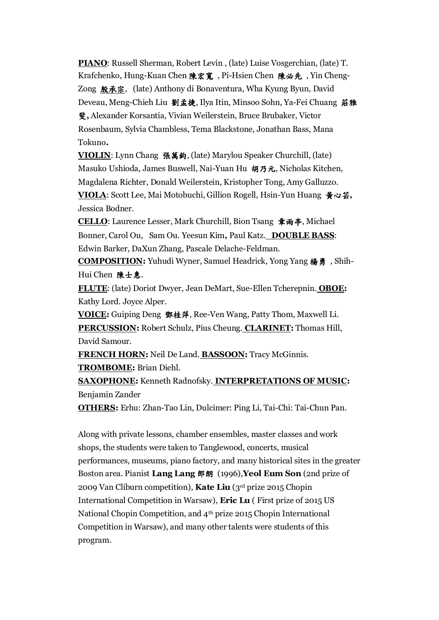**PIANO**: Russell Sherman, Robert Levin , (late) Luise Vosgerchian, (late) T. Krafchenko, Hung-Kuan Chen 陳宏寬 , Pi-Hsien Chen 陳必先 , Yin Cheng-Zong 殷承宗, (late) Anthony di Bonaventura, Wha Kyung Byun, David Deveau, Meng-Chieh Liu 劉孟捷, Ilya Itin, Minsoo Sohn, Ya-Fei Chuang 莊雅 斐**,** Alexander Korsantia, Vivian Weilerstein, Bruce Brubaker, Victor Rosenbaum, Sylvia Chambless, Tema Blackstone, Jonathan Bass, Mana Tokuno**.**

**VIOLIN**: Lynn Chang 張萬鈞, (late) Marylou Speaker Churchill, (late) Masuko Ushioda, James Buswell, Nai-Yuan Hu 胡乃元, Nicholas Kitchen, Magdalena Richter, Donald Weilerstein, Kristopher Tong, Amy Galluzzo. **VIOLA**: Scott Lee, Mai Motobuchi, Gillion Rogell, Hsin-Yun Huang 黃心芸**,**  Jessica Bodner.

**CELLO**: Laurence Lesser, Mark Churchill, Bion Tsang 章雨亭, Michael Bonner, Carol Ou, Sam Ou. Yeesun Kim**,** Paul Katz. **DOUBLE BASS**: Edwin Barker, DaXun Zhang, Pascale Delache-Feldman.

**COMPOSITION:** Yuhudi Wyner, Samuel Headrick, Yong Yang 楊勇 , Shih-Hui Chen 陳士惠.

**FLUTE**: (late) Doriot Dwyer, Jean DeMart, Sue-Ellen Tcherepnin. **OBOE:** Kathy Lord. Joyce Alper.

**VOICE:** Guiping Deng 鄧桂萍, Ree-Ven Wang, Patty Thom, Maxwell Li. **PERCUSSION:** Robert Schulz, Pius Cheung. **CLARINET:** Thomas Hill, David Samour.

**FRENCH HORN:** Neil De Land. **BASSOON:** Tracy McGinnis.

**TROMBOME:** Brian Diehl.

**SAXOPHONE:** Kenneth Radnofsky. **INTERPRETATIONS OF MUSIC:**  Benjamin Zander

**OTHERS:** Erhu: Zhan-Tao Lin, Dulcimer: Ping Li, Tai-Chi: Tai-Chun Pan.

Along with private lessons, chamber ensembles, master classes and work shops, the students were taken to Tanglewood, concerts, musical performances, museums, piano factory, and many historical sites in the greater Boston area. Pianist **Lang Lang** 郎朗 (1996),**Yeol Eum Son** (2nd prize of 2009 Van Cliburn competition), **Kate Liu** (3rd prize 2015 Chopin International Competition in Warsaw), **Eric Lu** ( First prize of 2015 US National Chopin Competition, and 4th prize 2015 Chopin International Competition in Warsaw), and many other talents were students of this program.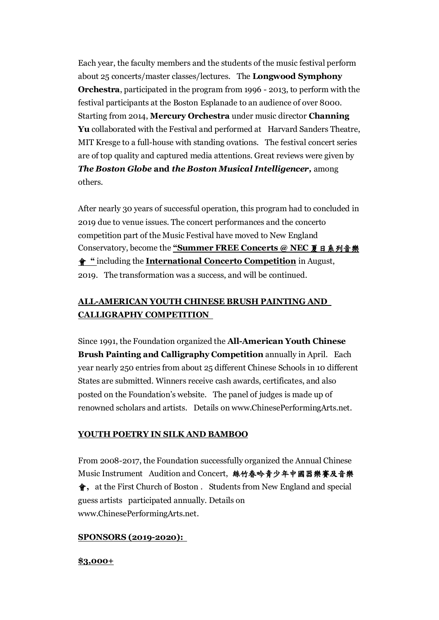Each year, the faculty members and the students of the music festival perform about 25 concerts/master classes/lectures. The **Longwood Symphony Orchestra**, participated in the program from 1996 - 2013, to perform with the festival participants at the Boston Esplanade to an audience of over 8000. Starting from 2014, **Mercury Orchestra** under music director **Channing**  Yu collaborated with the Festival and performed at Harvard Sanders Theatre, MIT Kresge to a full-house with standing ovations. The festival concert series are of top quality and captured media attentions. Great reviews were given by *The Boston Globe* **and** *the Boston Musical Intelligencer,* among others.

After nearly 30 years of successful operation, this program had to concluded in 2019 due to venue issues. The concert performances and the concerto competition part of the Music Festival have moved to New England Conservatory, become the **"Summer FREE Concerts @ NEC** 夏日系列音樂 會 **"** including the **International Concerto Competition** in August, 2019. The transformation was a success, and will be continued.

### **ALL-AMERICAN YOUTH CHINESE BRUSH PAINTING AND CALLIGRAPHY COMPETITION**

Since 1991, the Foundation organized the **All-American Youth Chinese Brush Painting and Calligraphy Competition** annually in April. Each year nearly 250 entries from about 25 different Chinese Schools in 10 different States are submitted. Winners receive cash awards, certificates, and also posted on the Foundation's website. The panel of judges is made up of renowned scholars and artists. Details on [www.ChinesePerformingArts.net.](http://www.chineseperformingarts.net/)

### **YOUTH POETRY IN SILK AND BAMBOO**

From 2008-2017, the Foundation successfully organized the Annual Chinese Music Instrument Audition and Concert, 絲竹春吟青少年中國器樂賽及音樂 會**,** at the First Church of Boston . Students from New England and special guess artists participated annually. Details on [www.ChinesePerformingArts.net.](http://www.chineseperformingarts.net/)

#### **SPONSORS (2019-2020):**

#### **\$3,000+**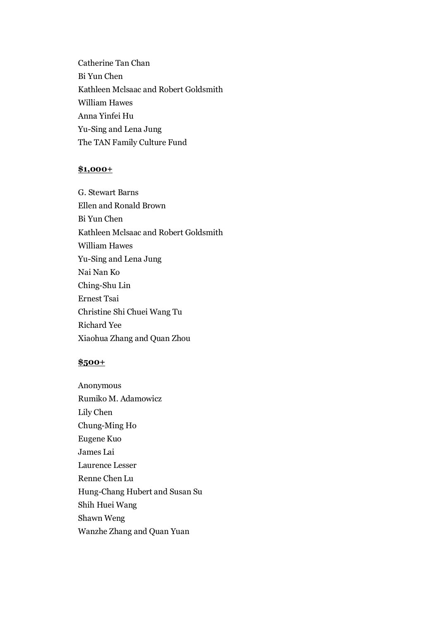Catherine Tan Chan Bi Yun Chen Kathleen Mclsaac and Robert Goldsmith William Hawes Anna Yinfei Hu Yu-Sing and Lena Jung The TAN Family Culture Fund

#### **\$1,000+**

G. Stewart Barns Ellen and Ronald Brown Bi Yun Chen Kathleen Mclsaac and Robert Goldsmith William Hawes Yu-Sing and Lena Jung Nai Nan Ko Ching-Shu Lin Ernest Tsai Christine Shi Chuei Wang Tu Richard Yee Xiaohua Zhang and Quan Zhou

#### **\$500+**

Anonymous Rumiko M. Adamowicz Lily Chen Chung-Ming Ho Eugene Kuo James Lai Laurence Lesser Renne Chen Lu Hung-Chang Hubert and Susan Su Shih Huei Wang Shawn Weng Wanzhe Zhang and Quan Yuan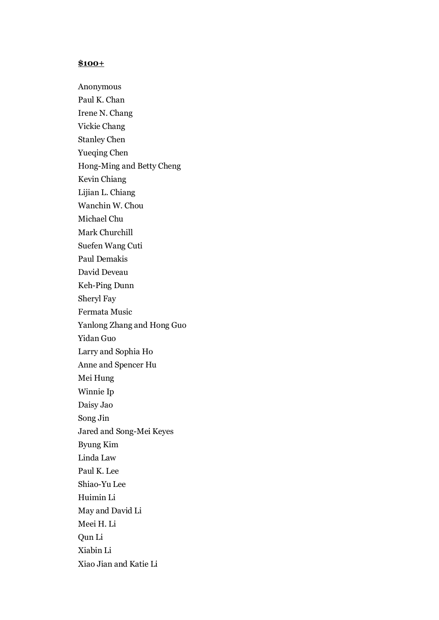### **\$100+**

Anonymous Paul K. Chan Irene N. Chang Vickie Chang Stanley Chen Yueqing Chen Hong-Ming and Betty Cheng Kevin Chiang Lijian L. Chiang Wanchin W. Chou Michael Chu Mark Churchill Suefen Wang Cuti Paul Demakis David Deveau Keh-Ping Dunn Sheryl Fay Fermata Music Yanlong Zhang and Hong Guo Yidan Guo Larry and Sophia Ho Anne and Spencer Hu Mei Hung Winnie Ip Daisy Jao Song Jin Jared and Song-Mei Keyes Byung Kim Linda Law Paul K. Lee Shiao-Yu Lee Huimin Li May and David Li Meei H. Li Qun Li Xiabin Li Xiao Jian and Katie Li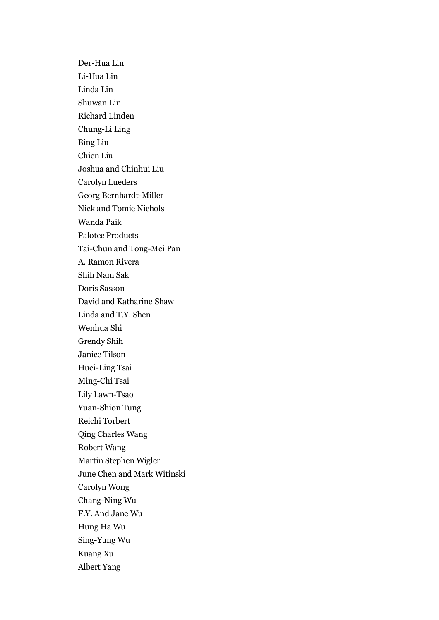Der-Hua Lin Li-Hua Lin Linda Lin Shuwan Lin Richard Linden Chung-Li Ling Bing Liu Chien Liu Joshua and Chinhui Liu Carolyn Lueders Georg Bernhardt-Miller Nick and Tomie Nichols Wanda Paik Palotec Products Tai-Chun and Tong-Mei Pan A. Ramon Rivera Shih Nam Sak Doris Sasson David and Katharine Shaw Linda and T.Y. Shen Wenhua Shi Grendy Shih Janice Tilson Huei-Ling Tsai Ming-Chi Tsai Lily Lawn-Tsao Yuan-Shion Tung Reichi Torbert Qing Charles Wang Robert Wang Martin Stephen Wigler June Chen and Mark Witinski Carolyn Wong Chang-Ning Wu F.Y. And Jane Wu Hung Ha Wu Sing-Yung Wu Kuang Xu Albert Yang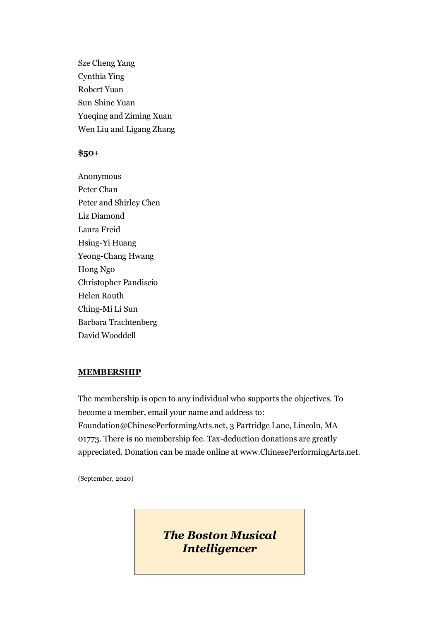Sze Cheng Yang Cynthia Ying Robert Yuan Sun Shine Yuan Yueqing and Ziming Xuan Wen Liu and Ligang Zhang

### **\$50**+

Anonymous Peter Chan Peter and Shirley Chen Liz Diamond Laura Freid Hsing-Yi Huang Yeong-Chang Hwang Hong Ngo Christopher Pandiscio Helen Routh Ching-Mi Li Sun Barbara Trachtenberg David Wooddell

#### **MEMBERSHIP**

The membership is open to any individual who supports the objectives. To become a member, email your name and address to: Foundation@ChinesePerformingArts.net, 3 Partridge Lane, Lincoln, MA 01773. There is no membership fee. Tax-deduction donations are greatly appreciated. Donation can be made online at www.ChinesePerformingArts.net.

(September, 2020)

*The Boston Musical Intelligencer*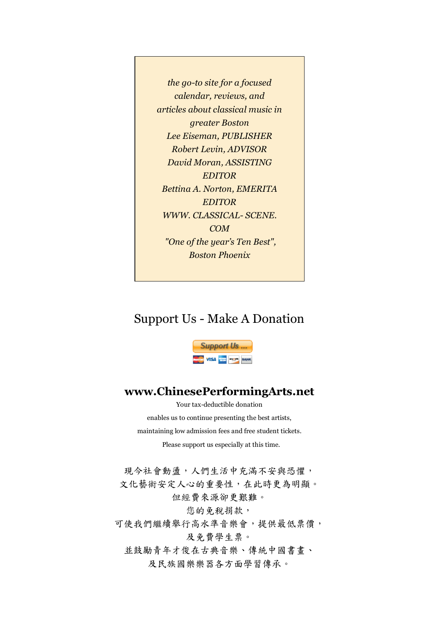*the go-to site for a focused calendar, reviews, and articles about classical music in greater Boston Lee Eiseman, PUBLISHER Robert Levin, ADVISOR David Moran, ASSISTING EDITOR Bettina A. Norton, EMERITA EDITOR WWW. CLASSICAL- SCENE. COM "One of the year's Ten Best", Boston Phoenix* 

## Support Us - Make A Donation



## **www.ChinesePerformingArts.net**

Your tax-deductible donation enables us to continue presenting the best artists, maintaining low admission fees and free student tickets. Please support us especially at this time.

現今社會動盪,人們生活中充滿不安與恐懼, 文化藝術安定人心的重要性,在此時更為明顯。 但經費來源卻更艱難。

您的免税捐款,

可使我們繼續舉行高水準音樂會,提供最低票價,

及免費學生票。

並鼓勵青年才俊在古典音樂、傳統中國書畫、 及民族國樂樂器各方面學習傳承。